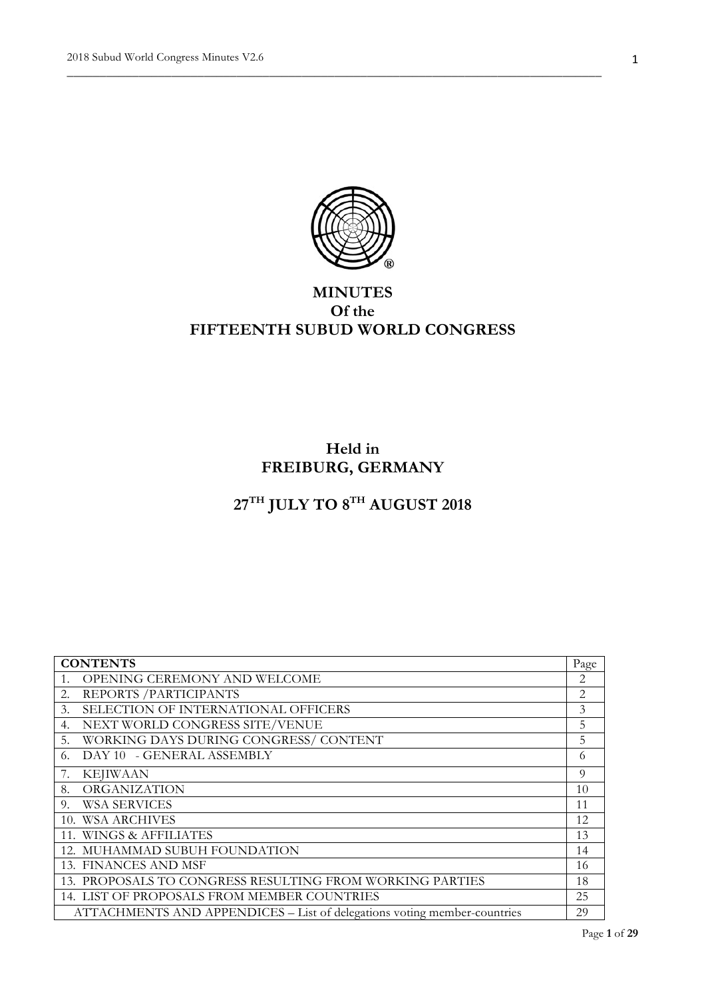

\_\_\_\_\_\_\_\_\_\_\_\_\_\_\_\_\_\_\_\_\_\_\_\_\_\_\_\_\_\_\_\_\_\_\_\_\_\_\_\_\_\_\_\_\_\_\_\_\_\_\_\_\_\_\_\_\_\_\_\_\_\_\_\_\_\_\_\_\_\_\_\_\_\_\_\_\_\_\_\_\_\_

# **MINUTES Of the FIFTEENTH SUBUD WORLD CONGRESS**

# **Held in FREIBURG, GERMANY**

# $27^{\text{TH}}$  JULY TO  $8^{\text{TH}}$  AUGUST  $2018$

| <b>CONTENTS</b>                                                          | Page |
|--------------------------------------------------------------------------|------|
| OPENING CEREMONY AND WELCOME<br>1.                                       | 2    |
| REPORTS / PARTICIPANTS<br>2.                                             | 2    |
| SELECTION OF INTERNATIONAL OFFICERS<br>3.                                | 3    |
| NEXT WORLD CONGRESS SITE/VENUE<br>4.                                     | 5    |
| WORKING DAYS DURING CONGRESS/CONTENT<br>5.                               | 5    |
| DAY 10 - GENERAL ASSEMBLY<br>6.                                          | 6    |
| 7.<br><b>KEJIWAAN</b>                                                    | 9    |
| ORGANIZATION<br>8.                                                       | 10   |
| <b>WSA SERVICES</b><br>9.                                                | 11   |
| 10. WSA ARCHIVES                                                         | 12   |
| 11. WINGS & AFFILIATES                                                   | 13   |
| 12. MUHAMMAD SUBUH FOUNDATION                                            | 14   |
| 13. FINANCES AND MSF                                                     | 16   |
| 13. PROPOSALS TO CONGRESS RESULTING FROM WORKING PARTIES                 | 18   |
| 14. LIST OF PROPOSALS FROM MEMBER COUNTRIES                              | 25   |
| ATTACHMENTS AND APPENDICES – List of delegations voting member-countries | 29   |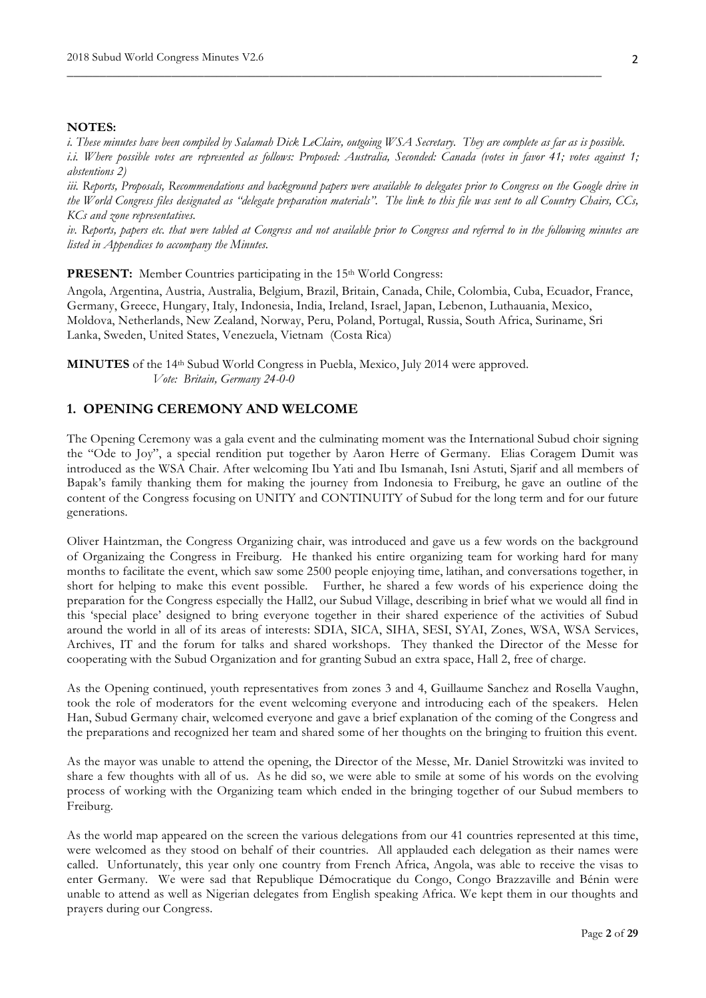#### **NOTES:**

*i. These minutes have been compiled by Salamah Dick LeClaire, outgoing WSA Secretary. They are complete as far as is possible. i.i. Where possible votes are represented as follows: Proposed: Australia, Seconded: Canada (votes in favor 41; votes against 1; abstentions 2)*

\_\_\_\_\_\_\_\_\_\_\_\_\_\_\_\_\_\_\_\_\_\_\_\_\_\_\_\_\_\_\_\_\_\_\_\_\_\_\_\_\_\_\_\_\_\_\_\_\_\_\_\_\_\_\_\_\_\_\_\_\_\_\_\_\_\_\_\_\_\_\_\_\_\_\_\_\_\_\_\_\_\_

*iii. Reports, Proposals, Recommendations and background papers were available to delegates prior to Congress on the Google drive in the World Congress files designated as "delegate preparation materials". The link to this file was sent to all Country Chairs, CCs, KCs and zone representatives.*

*iv. Reports, papers etc. that were tabled at Congress and not available prior to Congress and referred to in the following minutes are listed in Appendices to accompany the Minutes.* 

**PRESENT:** Member Countries participating in the 15<sup>th</sup> World Congress:

Angola, Argentina, Austria, Australia, Belgium, Brazil, Britain, Canada, Chile, Colombia, Cuba, Ecuador, France, Germany, Greece, Hungary, Italy, Indonesia, India, Ireland, Israel, Japan, Lebenon, Luthauania, Mexico, Moldova, Netherlands, New Zealand, Norway, Peru, Poland, Portugal, Russia, South Africa, Suriname, Sri Lanka, Sweden, United States, Venezuela, Vietnam (Costa Rica)

**MINUTES** of the 14th Subud World Congress in Puebla, Mexico, July 2014 were approved. *Vote: Britain, Germany 24-0-0*

#### **1. OPENING CEREMONY AND WELCOME**

The Opening Ceremony was a gala event and the culminating moment was the International Subud choir signing the "Ode to Joy", a special rendition put together by Aaron Herre of Germany. Elias Coragem Dumit was introduced as the WSA Chair. After welcoming Ibu Yati and Ibu Ismanah, Isni Astuti, Sjarif and all members of Bapak's family thanking them for making the journey from Indonesia to Freiburg, he gave an outline of the content of the Congress focusing on UNITY and CONTINUITY of Subud for the long term and for our future generations.

Oliver Haintzman, the Congress Organizing chair, was introduced and gave us a few words on the background of Organizaing the Congress in Freiburg. He thanked his entire organizing team for working hard for many months to facilitate the event, which saw some 2500 people enjoying time, latihan, and conversations together, in short for helping to make this event possible. Further, he shared a few words of his experience doing the preparation for the Congress especially the Hall2, our Subud Village, describing in brief what we would all find in this 'special place' designed to bring everyone together in their shared experience of the activities of Subud around the world in all of its areas of interests: SDIA, SICA, SIHA, SESI, SYAI, Zones, WSA, WSA Services, Archives, IT and the forum for talks and shared workshops. They thanked the Director of the Messe for cooperating with the Subud Organization and for granting Subud an extra space, Hall 2, free of charge.

As the Opening continued, youth representatives from zones 3 and 4, Guillaume Sanchez and Rosella Vaughn, took the role of moderators for the event welcoming everyone and introducing each of the speakers. Helen Han, Subud Germany chair, welcomed everyone and gave a brief explanation of the coming of the Congress and the preparations and recognized her team and shared some of her thoughts on the bringing to fruition this event.

As the mayor was unable to attend the opening, the Director of the Messe, Mr. Daniel Strowitzki was invited to share a few thoughts with all of us. As he did so, we were able to smile at some of his words on the evolving process of working with the Organizing team which ended in the bringing together of our Subud members to Freiburg.

As the world map appeared on the screen the various delegations from our 41 countries represented at this time, were welcomed as they stood on behalf of their countries. All applauded each delegation as their names were called. Unfortunately, this year only one country from French Africa, Angola, was able to receive the visas to enter Germany. We were sad that Republique Démocratique du Congo, Congo Brazzaville and Bénin were unable to attend as well as Nigerian delegates from English speaking Africa. We kept them in our thoughts and prayers during our Congress.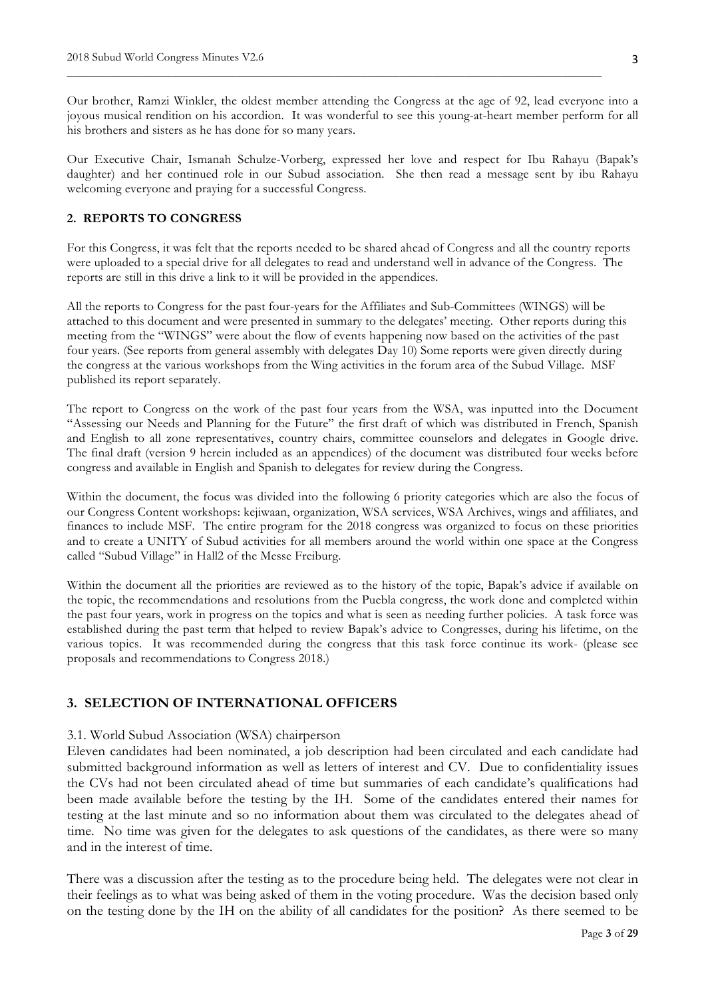Our brother, Ramzi Winkler, the oldest member attending the Congress at the age of 92, lead everyone into a joyous musical rendition on his accordion. It was wonderful to see this young-at-heart member perform for all his brothers and sisters as he has done for so many years.

\_\_\_\_\_\_\_\_\_\_\_\_\_\_\_\_\_\_\_\_\_\_\_\_\_\_\_\_\_\_\_\_\_\_\_\_\_\_\_\_\_\_\_\_\_\_\_\_\_\_\_\_\_\_\_\_\_\_\_\_\_\_\_\_\_\_\_\_\_\_\_\_\_\_\_\_\_\_\_\_\_\_

Our Executive Chair, Ismanah Schulze-Vorberg, expressed her love and respect for Ibu Rahayu (Bapak's daughter) and her continued role in our Subud association. She then read a message sent by ibu Rahayu welcoming everyone and praying for a successful Congress.

# **2. REPORTS TO CONGRESS**

For this Congress, it was felt that the reports needed to be shared ahead of Congress and all the country reports were uploaded to a special drive for all delegates to read and understand well in advance of the Congress. The reports are still in this drive a link to it will be provided in the appendices.

All the reports to Congress for the past four-years for the Affiliates and Sub-Committees (WINGS) will be attached to this document and were presented in summary to the delegates' meeting. Other reports during this meeting from the "WINGS" were about the flow of events happening now based on the activities of the past four years. (See reports from general assembly with delegates Day 10) Some reports were given directly during the congress at the various workshops from the Wing activities in the forum area of the Subud Village. MSF published its report separately.

The report to Congress on the work of the past four years from the WSA, was inputted into the Document "Assessing our Needs and Planning for the Future" the first draft of which was distributed in French, Spanish and English to all zone representatives, country chairs, committee counselors and delegates in Google drive. The final draft (version 9 herein included as an appendices) of the document was distributed four weeks before congress and available in English and Spanish to delegates for review during the Congress.

Within the document, the focus was divided into the following 6 priority categories which are also the focus of our Congress Content workshops: kejiwaan, organization, WSA services, WSA Archives, wings and affiliates, and finances to include MSF. The entire program for the 2018 congress was organized to focus on these priorities and to create a UNITY of Subud activities for all members around the world within one space at the Congress called "Subud Village" in Hall2 of the Messe Freiburg.

Within the document all the priorities are reviewed as to the history of the topic, Bapak's advice if available on the topic, the recommendations and resolutions from the Puebla congress, the work done and completed within the past four years, work in progress on the topics and what is seen as needing further policies. A task force was established during the past term that helped to review Bapak's advice to Congresses, during his lifetime, on the various topics. It was recommended during the congress that this task force continue its work- (please see proposals and recommendations to Congress 2018.)

# **3. SELECTION OF INTERNATIONAL OFFICERS**

#### 3.1. World Subud Association (WSA) chairperson

Eleven candidates had been nominated, a job description had been circulated and each candidate had submitted background information as well as letters of interest and CV. Due to confidentiality issues the CVs had not been circulated ahead of time but summaries of each candidate's qualifications had been made available before the testing by the IH. Some of the candidates entered their names for testing at the last minute and so no information about them was circulated to the delegates ahead of time. No time was given for the delegates to ask questions of the candidates, as there were so many and in the interest of time.

There was a discussion after the testing as to the procedure being held. The delegates were not clear in their feelings as to what was being asked of them in the voting procedure. Was the decision based only on the testing done by the IH on the ability of all candidates for the position? As there seemed to be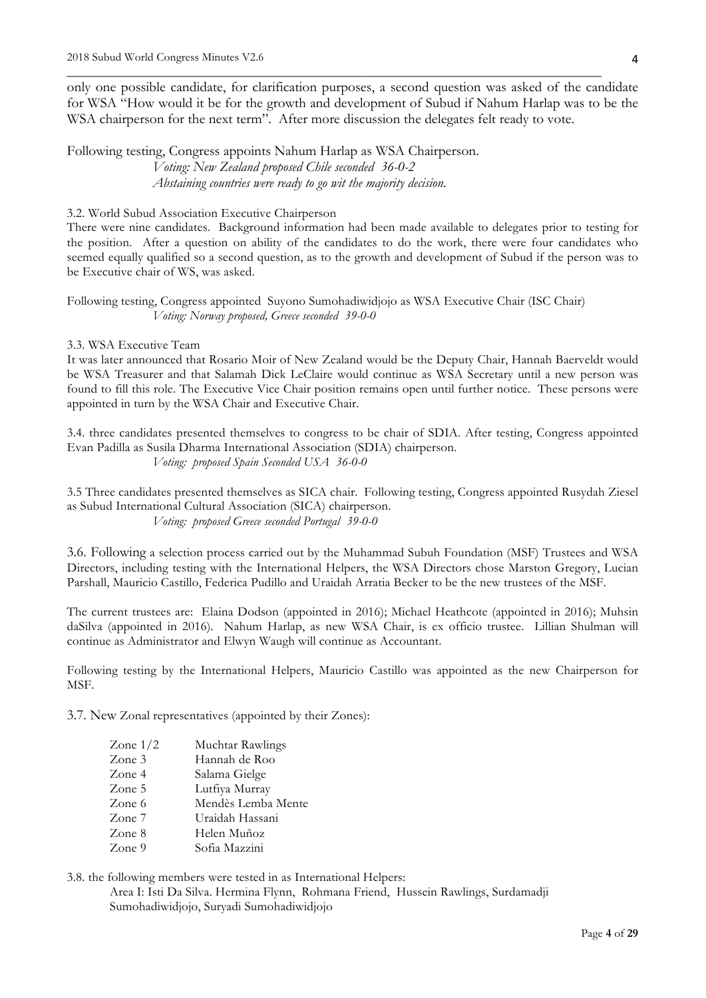only one possible candidate, for clarification purposes, a second question was asked of the candidate for WSA "How would it be for the growth and development of Subud if Nahum Harlap was to be the WSA chairperson for the next term". After more discussion the delegates felt ready to vote.

\_\_\_\_\_\_\_\_\_\_\_\_\_\_\_\_\_\_\_\_\_\_\_\_\_\_\_\_\_\_\_\_\_\_\_\_\_\_\_\_\_\_\_\_\_\_\_\_\_\_\_\_\_\_\_\_\_\_\_\_\_\_\_\_\_\_\_\_\_\_\_\_\_\_\_\_\_\_\_\_\_\_

Following testing, Congress appoints Nahum Harlap as WSA Chairperson. *Voting: New Zealand proposed Chile seconded 36-0-2 Abstaining countries were ready to go wit the majority decision.*

#### 3.2. World Subud Association Executive Chairperson

There were nine candidates. Background information had been made available to delegates prior to testing for the position. After a question on ability of the candidates to do the work, there were four candidates who seemed equally qualified so a second question, as to the growth and development of Subud if the person was to be Executive chair of WS, was asked.

# Following testing, Congress appointed Suyono Sumohadiwidjojo as WSA Executive Chair (ISC Chair) *Voting: Norway proposed, Greece seconded 39-0-0*

#### 3.3. WSA Executive Team

It was later announced that Rosario Moir of New Zealand would be the Deputy Chair, Hannah Baerveldt would be WSA Treasurer and that Salamah Dick LeClaire would continue as WSA Secretary until a new person was found to fill this role. The Executive Vice Chair position remains open until further notice. These persons were appointed in turn by the WSA Chair and Executive Chair.

3.4. three candidates presented themselves to congress to be chair of SDIA. After testing, Congress appointed Evan Padilla as Susila Dharma International Association (SDIA) chairperson. *Voting: proposed Spain Seconded USA 36-0-0*

3.5 Three candidates presented themselves as SICA chair. Following testing, Congress appointed Rusydah Ziesel as Subud International Cultural Association (SICA) chairperson. *Voting: proposed Greece seconded Portugal 39-0-0*

3.6. Following a selection process carried out by the Muhammad Subuh Foundation (MSF) Trustees and WSA Directors, including testing with the International Helpers, the WSA Directors chose Marston Gregory, Lucian Parshall, Mauricio Castillo, Federica Pudillo and Uraidah Arratia Becker to be the new trustees of the MSF.

The current trustees are: Elaina Dodson (appointed in 2016); Michael Heathcote (appointed in 2016); Muhsin daSilva (appointed in 2016). Nahum Harlap, as new WSA Chair, is ex officio trustee. Lillian Shulman will continue as Administrator and Elwyn Waugh will continue as Accountant.

Following testing by the International Helpers, Mauricio Castillo was appointed as the new Chairperson for MSF.

3.7. New Zonal representatives (appointed by their Zones):

| Zone $1/2$ | Muchtar Rawlings   |
|------------|--------------------|
| Zone 3     | Hannah de Roo      |
| Zone 4     | Salama Gielge      |
| Zone 5     | Lutfiya Murray     |
| Zone 6     | Mendès Lemba Mente |
| Zone $7$   | Uraidah Hassani    |
| Zone 8     | Helen Muñoz        |
| Zone 9     | Sofia Mazzini      |

3.8. the following members were tested in as International Helpers:

Area I: Isti Da Silva. Hermina Flynn, Rohmana Friend, Hussein Rawlings, Surdamadji Sumohadiwidjojo, Suryadi Sumohadiwidjojo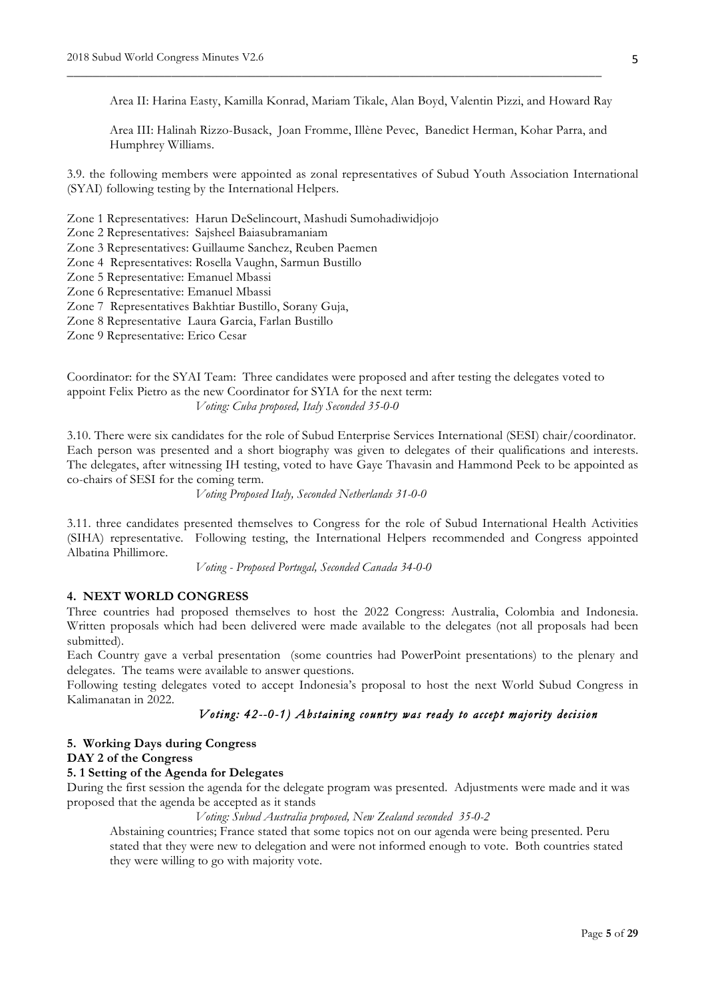Area II: Harina Easty, Kamilla Konrad, Mariam Tikale, Alan Boyd, Valentin Pizzi, and Howard Ray

\_\_\_\_\_\_\_\_\_\_\_\_\_\_\_\_\_\_\_\_\_\_\_\_\_\_\_\_\_\_\_\_\_\_\_\_\_\_\_\_\_\_\_\_\_\_\_\_\_\_\_\_\_\_\_\_\_\_\_\_\_\_\_\_\_\_\_\_\_\_\_\_\_\_\_\_\_\_\_\_\_\_

Area III: Halinah Rizzo-Busack, Joan Fromme, Illène Pevec, Banedict Herman, Kohar Parra, and Humphrey Williams.

3.9. the following members were appointed as zonal representatives of Subud Youth Association International (SYAI) following testing by the International Helpers.

Zone 1 Representatives: Harun DeSelincourt, Mashudi Sumohadiwidjojo

Zone 2 Representatives: Sajsheel Baiasubramaniam

Zone 3 Representatives: Guillaume Sanchez, Reuben Paemen

Zone 4 Representatives: Rosella Vaughn, Sarmun Bustillo

Zone 5 Representative: Emanuel Mbassi

Zone 6 Representative: Emanuel Mbassi

Zone 7 Representatives Bakhtiar Bustillo, Sorany Guja,

Zone 8 Representative Laura Garcia, Farlan Bustillo

Zone 9 Representative: Erico Cesar

Coordinator: for the SYAI Team: Three candidates were proposed and after testing the delegates voted to appoint Felix Pietro as the new Coordinator for SYIA for the next term: *Voting: Cuba proposed, Italy Seconded 35-0-0*

3.10. There were six candidates for the role of Subud Enterprise Services International (SESI) chair/coordinator. Each person was presented and a short biography was given to delegates of their qualifications and interests. The delegates, after witnessing IH testing, voted to have Gaye Thavasin and Hammond Peek to be appointed as co-chairs of SESI for the coming term.

*Voting Proposed Italy, Seconded Netherlands 31-0-0*

3.11. three candidates presented themselves to Congress for the role of Subud International Health Activities (SIHA) representative. Following testing, the International Helpers recommended and Congress appointed Albatina Phillimore.

*Voting - Proposed Portugal, Seconded Canada 34-0-0*

#### **4. NEXT WORLD CONGRESS**

Three countries had proposed themselves to host the 2022 Congress: Australia, Colombia and Indonesia. Written proposals which had been delivered were made available to the delegates (not all proposals had been submitted).

Each Country gave a verbal presentation (some countries had PowerPoint presentations) to the plenary and delegates. The teams were available to answer questions.

Following testing delegates voted to accept Indonesia's proposal to host the next World Subud Congress in Kalimanatan in 2022.

# *Voting: 42--0-1) Abstaining country was ready to accept majority decision*

#### **5. Working Days during Congress DAY 2 of the Congress**

## **5. 1 Setting of the Agenda for Delegates**

During the first session the agenda for the delegate program was presented. Adjustments were made and it was proposed that the agenda be accepted as it stands

*Voting: Subud Australia proposed, New Zealand seconded 35-0-2* 

Abstaining countries; France stated that some topics not on our agenda were being presented. Peru stated that they were new to delegation and were not informed enough to vote. Both countries stated they were willing to go with majority vote.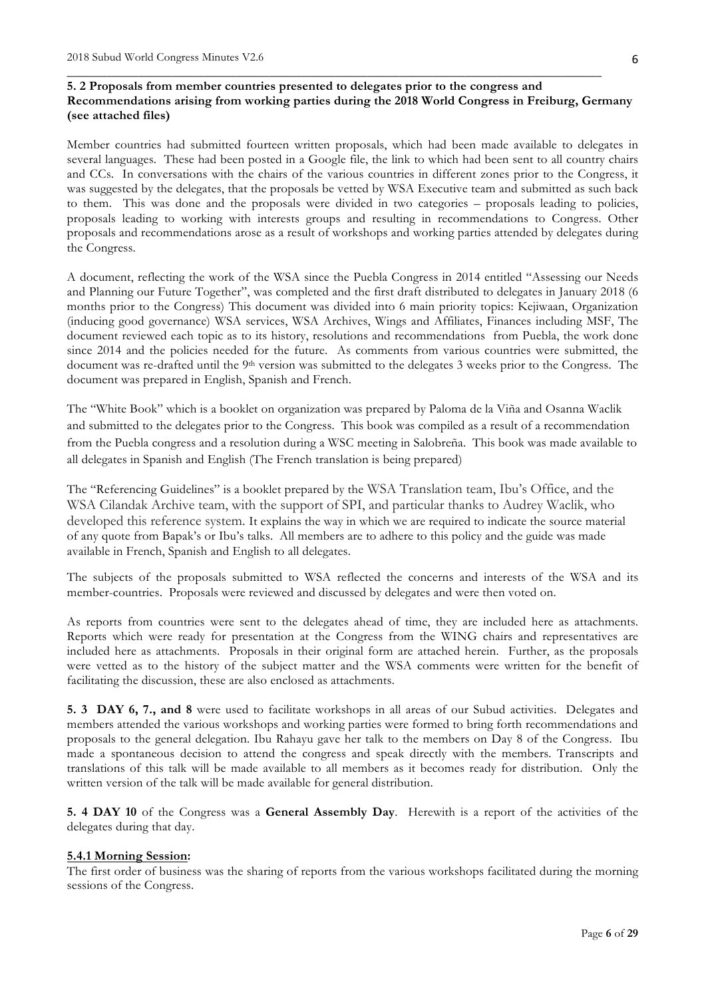# **5. 2 Proposals from member countries presented to delegates prior to the congress and Recommendations arising from working parties during the 2018 World Congress in Freiburg, Germany (see attached files)**

\_\_\_\_\_\_\_\_\_\_\_\_\_\_\_\_\_\_\_\_\_\_\_\_\_\_\_\_\_\_\_\_\_\_\_\_\_\_\_\_\_\_\_\_\_\_\_\_\_\_\_\_\_\_\_\_\_\_\_\_\_\_\_\_\_\_\_\_\_\_\_\_\_\_\_\_\_\_\_\_\_\_

Member countries had submitted fourteen written proposals, which had been made available to delegates in several languages. These had been posted in a Google file, the link to which had been sent to all country chairs and CCs. In conversations with the chairs of the various countries in different zones prior to the Congress, it was suggested by the delegates, that the proposals be vetted by WSA Executive team and submitted as such back to them. This was done and the proposals were divided in two categories – proposals leading to policies, proposals leading to working with interests groups and resulting in recommendations to Congress. Other proposals and recommendations arose as a result of workshops and working parties attended by delegates during the Congress.

A document, reflecting the work of the WSA since the Puebla Congress in 2014 entitled "Assessing our Needs and Planning our Future Together", was completed and the first draft distributed to delegates in January 2018 (6 months prior to the Congress) This document was divided into 6 main priority topics: Kejiwaan, Organization (inducing good governance) WSA services, WSA Archives, Wings and Affiliates, Finances including MSF, The document reviewed each topic as to its history, resolutions and recommendations from Puebla, the work done since 2014 and the policies needed for the future. As comments from various countries were submitted, the document was re-drafted until the 9<sup>th</sup> version was submitted to the delegates 3 weeks prior to the Congress. The document was prepared in English, Spanish and French.

The "White Book" which is a booklet on organization was prepared by Paloma de la Viña and Osanna Waclik and submitted to the delegates prior to the Congress. This book was compiled as a result of a recommendation from the Puebla congress and a resolution during a WSC meeting in Salobreña. This book was made available to all delegates in Spanish and English (The French translation is being prepared)

The "Referencing Guidelines" is a booklet prepared by the WSA Translation team, Ibu's Office, and the WSA Cilandak Archive team, with the support of SPI, and particular thanks to Audrey Waclik, who developed this reference system. It explains the way in which we are required to indicate the source material of any quote from Bapak's or Ibu's talks. All members are to adhere to this policy and the guide was made available in French, Spanish and English to all delegates.

The subjects of the proposals submitted to WSA reflected the concerns and interests of the WSA and its member-countries. Proposals were reviewed and discussed by delegates and were then voted on.

As reports from countries were sent to the delegates ahead of time, they are included here as attachments. Reports which were ready for presentation at the Congress from the WING chairs and representatives are included here as attachments. Proposals in their original form are attached herein. Further, as the proposals were vetted as to the history of the subject matter and the WSA comments were written for the benefit of facilitating the discussion, these are also enclosed as attachments.

**5. 3 DAY 6, 7., and 8** were used to facilitate workshops in all areas of our Subud activities. Delegates and members attended the various workshops and working parties were formed to bring forth recommendations and proposals to the general delegation. Ibu Rahayu gave her talk to the members on Day 8 of the Congress. Ibu made a spontaneous decision to attend the congress and speak directly with the members. Transcripts and translations of this talk will be made available to all members as it becomes ready for distribution. Only the written version of the talk will be made available for general distribution.

**5. 4 DAY 10** of the Congress was a **General Assembly Day**. Herewith is a report of the activities of the delegates during that day.

#### **5.4.1 Morning Session:**

The first order of business was the sharing of reports from the various workshops facilitated during the morning sessions of the Congress.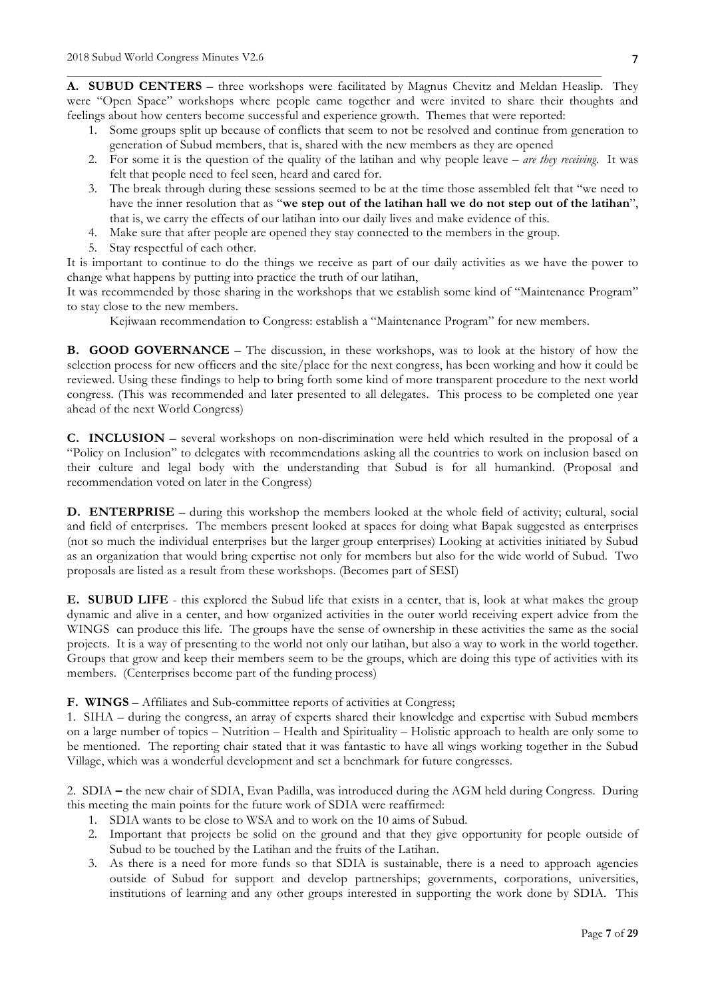**A. SUBUD CENTERS** – three workshops were facilitated by Magnus Chevitz and Meldan Heaslip. They were "Open Space" workshops where people came together and were invited to share their thoughts and feelings about how centers become successful and experience growth. Themes that were reported:

\_\_\_\_\_\_\_\_\_\_\_\_\_\_\_\_\_\_\_\_\_\_\_\_\_\_\_\_\_\_\_\_\_\_\_\_\_\_\_\_\_\_\_\_\_\_\_\_\_\_\_\_\_\_\_\_\_\_\_\_\_\_\_\_\_\_\_\_\_\_\_\_\_\_\_\_\_\_\_\_\_\_

- 1. Some groups split up because of conflicts that seem to not be resolved and continue from generation to generation of Subud members, that is, shared with the new members as they are opened
- 2. For some it is the question of the quality of the latihan and why people leave *are they receiving*. It was felt that people need to feel seen, heard and cared for.
- 3. The break through during these sessions seemed to be at the time those assembled felt that "we need to have the inner resolution that as "**we step out of the latihan hall we do not step out of the latihan**", that is, we carry the effects of our latihan into our daily lives and make evidence of this.
- 4. Make sure that after people are opened they stay connected to the members in the group.
- 5. Stay respectful of each other.

It is important to continue to do the things we receive as part of our daily activities as we have the power to change what happens by putting into practice the truth of our latihan,

It was recommended by those sharing in the workshops that we establish some kind of "Maintenance Program" to stay close to the new members.

Kejiwaan recommendation to Congress: establish a "Maintenance Program" for new members.

**B. GOOD GOVERNANCE** – The discussion, in these workshops, was to look at the history of how the selection process for new officers and the site/place for the next congress, has been working and how it could be reviewed. Using these findings to help to bring forth some kind of more transparent procedure to the next world congress. (This was recommended and later presented to all delegates. This process to be completed one year ahead of the next World Congress)

**C. INCLUSION** – several workshops on non-discrimination were held which resulted in the proposal of a "Policy on Inclusion" to delegates with recommendations asking all the countries to work on inclusion based on their culture and legal body with the understanding that Subud is for all humankind. (Proposal and recommendation voted on later in the Congress)

**D. ENTERPRISE** – during this workshop the members looked at the whole field of activity; cultural, social and field of enterprises. The members present looked at spaces for doing what Bapak suggested as enterprises (not so much the individual enterprises but the larger group enterprises) Looking at activities initiated by Subud as an organization that would bring expertise not only for members but also for the wide world of Subud. Two proposals are listed as a result from these workshops. (Becomes part of SESI)

**E. SUBUD LIFE** - this explored the Subud life that exists in a center, that is, look at what makes the group dynamic and alive in a center, and how organized activities in the outer world receiving expert advice from the WINGS can produce this life. The groups have the sense of ownership in these activities the same as the social projects. It is a way of presenting to the world not only our latihan, but also a way to work in the world together. Groups that grow and keep their members seem to be the groups, which are doing this type of activities with its members. (Centerprises become part of the funding process)

**F. WINGS** – Affiliates and Sub-committee reports of activities at Congress;

1. SIHA – during the congress, an array of experts shared their knowledge and expertise with Subud members on a large number of topics – Nutrition – Health and Spirituality – Holistic approach to health are only some to be mentioned. The reporting chair stated that it was fantastic to have all wings working together in the Subud Village, which was a wonderful development and set a benchmark for future congresses.

2. SDIA **–** the new chair of SDIA, Evan Padilla, was introduced during the AGM held during Congress. During this meeting the main points for the future work of SDIA were reaffirmed:

- 1. SDIA wants to be close to WSA and to work on the 10 aims of Subud.
- 2. Important that projects be solid on the ground and that they give opportunity for people outside of Subud to be touched by the Latihan and the fruits of the Latihan.
- 3. As there is a need for more funds so that SDIA is sustainable, there is a need to approach agencies outside of Subud for support and develop partnerships; governments, corporations, universities, institutions of learning and any other groups interested in supporting the work done by SDIA. This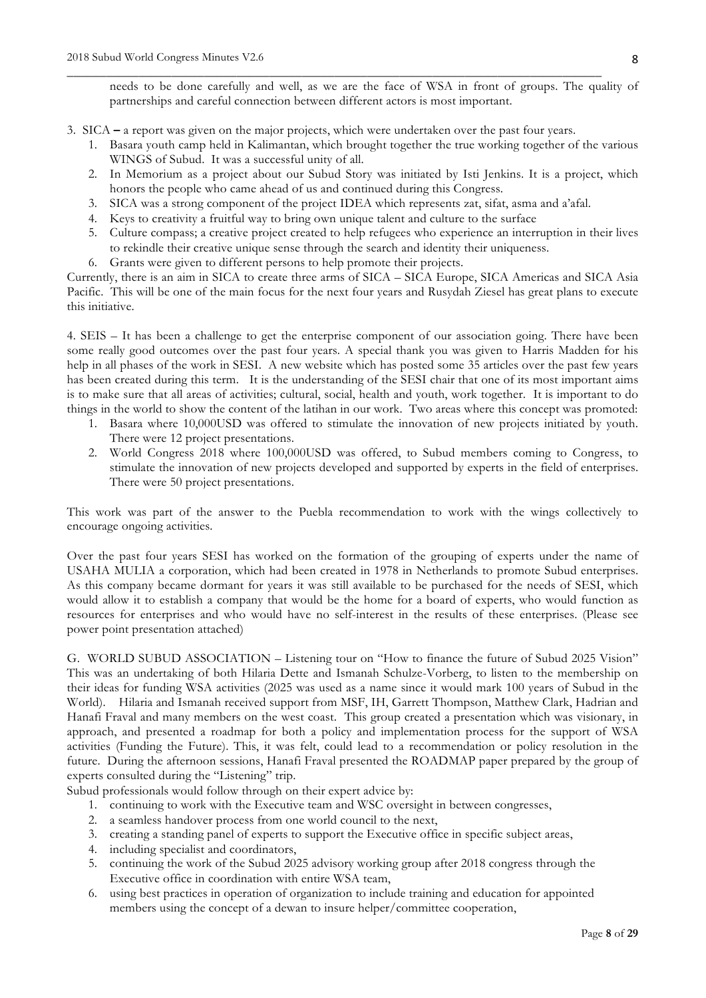needs to be done carefully and well, as we are the face of WSA in front of groups. The quality of partnerships and careful connection between different actors is most important.

3. SICA **–** a report was given on the major projects, which were undertaken over the past four years.

\_\_\_\_\_\_\_\_\_\_\_\_\_\_\_\_\_\_\_\_\_\_\_\_\_\_\_\_\_\_\_\_\_\_\_\_\_\_\_\_\_\_\_\_\_\_\_\_\_\_\_\_\_\_\_\_\_\_\_\_\_\_\_\_\_\_\_\_\_\_\_\_\_\_\_\_\_\_\_\_\_\_

- 1. Basara youth camp held in Kalimantan, which brought together the true working together of the various WINGS of Subud. It was a successful unity of all.
- 2. In Memorium as a project about our Subud Story was initiated by Isti Jenkins. It is a project, which honors the people who came ahead of us and continued during this Congress.
- 3. SICA was a strong component of the project IDEA which represents zat, sifat, asma and a'afal.
- 4. Keys to creativity a fruitful way to bring own unique talent and culture to the surface
- 5. Culture compass; a creative project created to help refugees who experience an interruption in their lives to rekindle their creative unique sense through the search and identity their uniqueness.
- 6. Grants were given to different persons to help promote their projects.

Currently, there is an aim in SICA to create three arms of SICA – SICA Europe, SICA Americas and SICA Asia Pacific. This will be one of the main focus for the next four years and Rusydah Ziesel has great plans to execute this initiative.

4. SEIS – It has been a challenge to get the enterprise component of our association going. There have been some really good outcomes over the past four years. A special thank you was given to Harris Madden for his help in all phases of the work in SESI. A new website which has posted some 35 articles over the past few years has been created during this term. It is the understanding of the SESI chair that one of its most important aims is to make sure that all areas of activities; cultural, social, health and youth, work together. It is important to do things in the world to show the content of the latihan in our work. Two areas where this concept was promoted:

- 1. Basara where 10,000USD was offered to stimulate the innovation of new projects initiated by youth. There were 12 project presentations.
- 2. World Congress 2018 where 100,000USD was offered, to Subud members coming to Congress, to stimulate the innovation of new projects developed and supported by experts in the field of enterprises. There were 50 project presentations.

This work was part of the answer to the Puebla recommendation to work with the wings collectively to encourage ongoing activities.

Over the past four years SESI has worked on the formation of the grouping of experts under the name of USAHA MULIA a corporation, which had been created in 1978 in Netherlands to promote Subud enterprises. As this company became dormant for years it was still available to be purchased for the needs of SESI, which would allow it to establish a company that would be the home for a board of experts, who would function as resources for enterprises and who would have no self-interest in the results of these enterprises. (Please see power point presentation attached)

G. WORLD SUBUD ASSOCIATION – Listening tour on "How to finance the future of Subud 2025 Vision" This was an undertaking of both Hilaria Dette and Ismanah Schulze-Vorberg, to listen to the membership on their ideas for funding WSA activities (2025 was used as a name since it would mark 100 years of Subud in the World). Hilaria and Ismanah received support from MSF, IH, Garrett Thompson, Matthew Clark, Hadrian and Hanafi Fraval and many members on the west coast. This group created a presentation which was visionary, in approach, and presented a roadmap for both a policy and implementation process for the support of WSA activities (Funding the Future). This, it was felt, could lead to a recommendation or policy resolution in the future. During the afternoon sessions, Hanafi Fraval presented the ROADMAP paper prepared by the group of experts consulted during the "Listening" trip.

- Subud professionals would follow through on their expert advice by:
	- 1. continuing to work with the Executive team and WSC oversight in between congresses,
	- 2. a seamless handover process from one world council to the next,
	- 3. creating a standing panel of experts to support the Executive office in specific subject areas,
	- 4. including specialist and coordinators,
	- 5. continuing the work of the Subud 2025 advisory working group after 2018 congress through the Executive office in coordination with entire WSA team,
	- 6. using best practices in operation of organization to include training and education for appointed members using the concept of a dewan to insure helper/committee cooperation,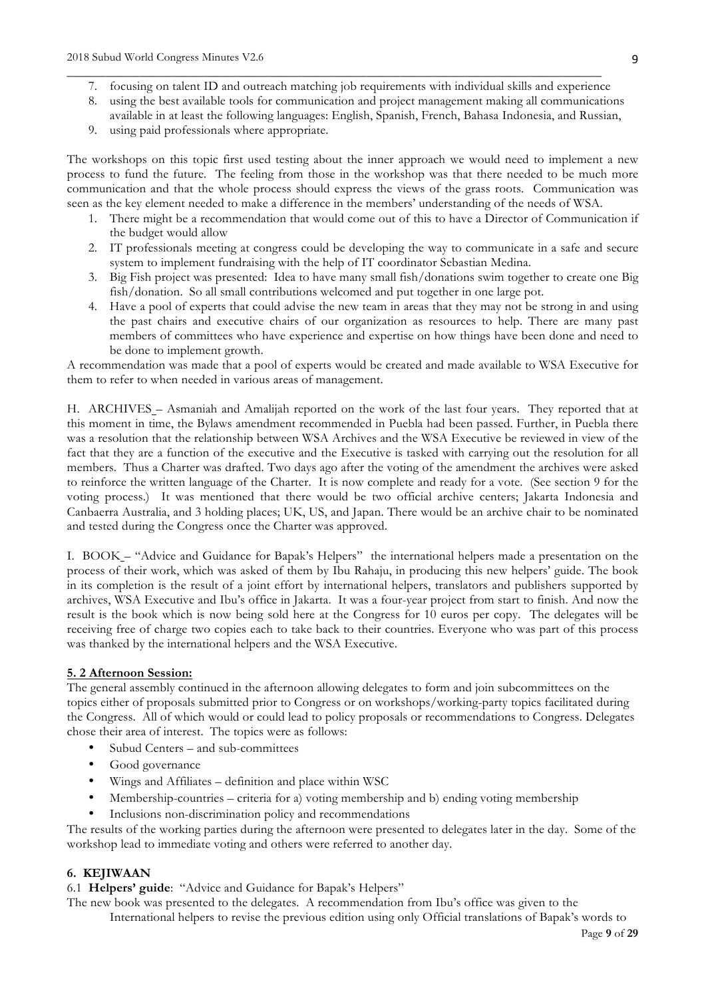7. focusing on talent ID and outreach matching job requirements with individual skills and experience

\_\_\_\_\_\_\_\_\_\_\_\_\_\_\_\_\_\_\_\_\_\_\_\_\_\_\_\_\_\_\_\_\_\_\_\_\_\_\_\_\_\_\_\_\_\_\_\_\_\_\_\_\_\_\_\_\_\_\_\_\_\_\_\_\_\_\_\_\_\_\_\_\_\_\_\_\_\_\_\_\_\_

- 8. using the best available tools for communication and project management making all communications available in at least the following languages: English, Spanish, French, Bahasa Indonesia, and Russian,
- 9. using paid professionals where appropriate.

The workshops on this topic first used testing about the inner approach we would need to implement a new process to fund the future. The feeling from those in the workshop was that there needed to be much more communication and that the whole process should express the views of the grass roots. Communication was seen as the key element needed to make a difference in the members' understanding of the needs of WSA.

- 1. There might be a recommendation that would come out of this to have a Director of Communication if the budget would allow
- 2. IT professionals meeting at congress could be developing the way to communicate in a safe and secure system to implement fundraising with the help of IT coordinator Sebastian Medina.
- 3. Big Fish project was presented: Idea to have many small fish/donations swim together to create one Big fish/donation. So all small contributions welcomed and put together in one large pot.
- 4. Have a pool of experts that could advise the new team in areas that they may not be strong in and using the past chairs and executive chairs of our organization as resources to help. There are many past members of committees who have experience and expertise on how things have been done and need to be done to implement growth.

A recommendation was made that a pool of experts would be created and made available to WSA Executive for them to refer to when needed in various areas of management.

H. ARCHIVES – Asmaniah and Amalijah reported on the work of the last four years. They reported that at this moment in time, the Bylaws amendment recommended in Puebla had been passed. Further, in Puebla there was a resolution that the relationship between WSA Archives and the WSA Executive be reviewed in view of the fact that they are a function of the executive and the Executive is tasked with carrying out the resolution for all members. Thus a Charter was drafted. Two days ago after the voting of the amendment the archives were asked to reinforce the written language of the Charter. It is now complete and ready for a vote. (See section 9 for the voting process.) It was mentioned that there would be two official archive centers; Jakarta Indonesia and Canbaerra Australia, and 3 holding places; UK, US, and Japan. There would be an archive chair to be nominated and tested during the Congress once the Charter was approved.

I. BOOK – "Advice and Guidance for Bapak's Helpers" the international helpers made a presentation on the process of their work, which was asked of them by Ibu Rahaju, in producing this new helpers' guide. The book in its completion is the result of a joint effort by international helpers, translators and publishers supported by archives, WSA Executive and Ibu's office in Jakarta. It was a four-year project from start to finish. And now the result is the book which is now being sold here at the Congress for 10 euros per copy. The delegates will be receiving free of charge two copies each to take back to their countries. Everyone who was part of this process was thanked by the international helpers and the WSA Executive.

# **5. 2 Afternoon Session:**

The general assembly continued in the afternoon allowing delegates to form and join subcommittees on the topics either of proposals submitted prior to Congress or on workshops/working-party topics facilitated during the Congress. All of which would or could lead to policy proposals or recommendations to Congress. Delegates chose their area of interest. The topics were as follows:

- Subud Centers and sub-committees
- Good governance
- Wings and Affiliates definition and place within WSC
- Membership-countries criteria for a) voting membership and b) ending voting membership
- Inclusions non-discrimination policy and recommendations

The results of the working parties during the afternoon were presented to delegates later in the day. Some of the workshop lead to immediate voting and others were referred to another day.

#### **6. KEJIWAAN**

6.1 **Helpers' guide**: "Advice and Guidance for Bapak's Helpers"

The new book was presented to the delegates. A recommendation from Ibu's office was given to the International helpers to revise the previous edition using only Official translations of Bapak's words to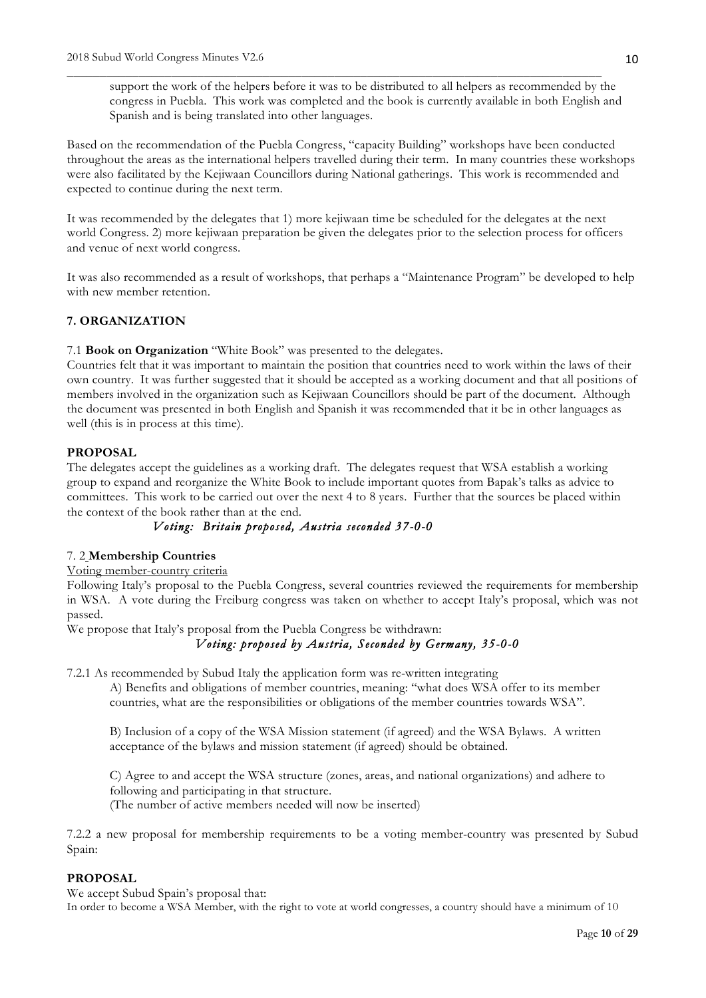support the work of the helpers before it was to be distributed to all helpers as recommended by the congress in Puebla. This work was completed and the book is currently available in both English and Spanish and is being translated into other languages.

Based on the recommendation of the Puebla Congress, "capacity Building" workshops have been conducted throughout the areas as the international helpers travelled during their term. In many countries these workshops were also facilitated by the Kejiwaan Councillors during National gatherings. This work is recommended and expected to continue during the next term.

\_\_\_\_\_\_\_\_\_\_\_\_\_\_\_\_\_\_\_\_\_\_\_\_\_\_\_\_\_\_\_\_\_\_\_\_\_\_\_\_\_\_\_\_\_\_\_\_\_\_\_\_\_\_\_\_\_\_\_\_\_\_\_\_\_\_\_\_\_\_\_\_\_\_\_\_\_\_\_\_\_\_

It was recommended by the delegates that 1) more kejiwaan time be scheduled for the delegates at the next world Congress. 2) more kejiwaan preparation be given the delegates prior to the selection process for officers and venue of next world congress.

It was also recommended as a result of workshops, that perhaps a "Maintenance Program" be developed to help with new member retention.

# **7. ORGANIZATION**

7.1 **Book on Organization** "White Book" was presented to the delegates.

Countries felt that it was important to maintain the position that countries need to work within the laws of their own country. It was further suggested that it should be accepted as a working document and that all positions of members involved in the organization such as Kejiwaan Councillors should be part of the document. Although the document was presented in both English and Spanish it was recommended that it be in other languages as well (this is in process at this time).

## **PROPOSAL**

The delegates accept the guidelines as a working draft. The delegates request that WSA establish a working group to expand and reorganize the White Book to include important quotes from Bapak's talks as advice to committees. This work to be carried out over the next 4 to 8 years. Further that the sources be placed within the context of the book rather than at the end.

# *Voting: Britain proposed, Austria seconded 37-0-0*

#### 7. 2 **Membership Countries**

#### Voting member-country criteria

Following Italy's proposal to the Puebla Congress, several countries reviewed the requirements for membership in WSA. A vote during the Freiburg congress was taken on whether to accept Italy's proposal, which was not passed.

We propose that Italy's proposal from the Puebla Congress be withdrawn:

# *Voting: proposed by Austria, Seconded by Germany, 35-0-0*

7.2.1 As recommended by Subud Italy the application form was re-written integrating

A) Benefits and obligations of member countries, meaning: "what does WSA offer to its member countries, what are the responsibilities or obligations of the member countries towards WSA".

B) Inclusion of a copy of the WSA Mission statement (if agreed) and the WSA Bylaws. A written acceptance of the bylaws and mission statement (if agreed) should be obtained.

C) Agree to and accept the WSA structure (zones, areas, and national organizations) and adhere to following and participating in that structure. (The number of active members needed will now be inserted)

7.2.2 a new proposal for membership requirements to be a voting member-country was presented by Subud Spain:

## **PROPOSAL**

We accept Subud Spain's proposal that:

In order to become a WSA Member, with the right to vote at world congresses, a country should have a minimum of 10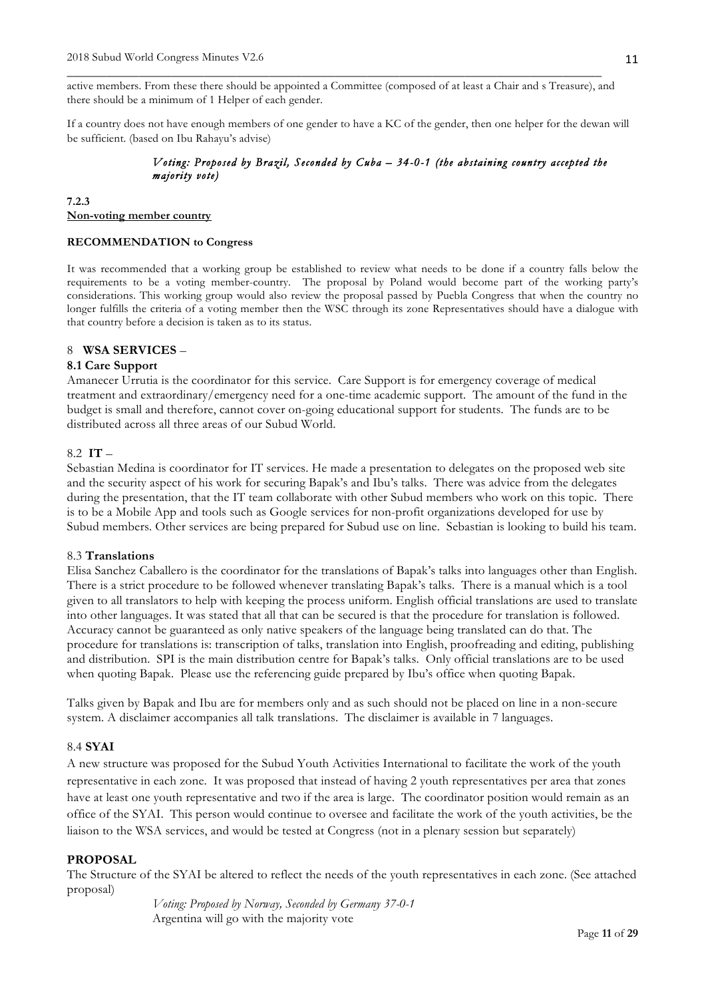active members. From these there should be appointed a Committee (composed of at least a Chair and s Treasure), and there should be a minimum of 1 Helper of each gender.

\_\_\_\_\_\_\_\_\_\_\_\_\_\_\_\_\_\_\_\_\_\_\_\_\_\_\_\_\_\_\_\_\_\_\_\_\_\_\_\_\_\_\_\_\_\_\_\_\_\_\_\_\_\_\_\_\_\_\_\_\_\_\_\_\_\_\_\_\_\_\_\_\_\_\_\_\_\_\_\_\_\_

If a country does not have enough members of one gender to have a KC of the gender, then one helper for the dewan will be sufficient. (based on Ibu Rahayu's advise)

# *Voting: Proposed by Brazil, Seconded by Cuba – 34-0-1 (the abstaining country accepted the majority vote)*

#### **7.2.3 Non-voting member country**

#### **RECOMMENDATION to Congress**

It was recommended that a working group be established to review what needs to be done if a country falls below the requirements to be a voting member-country. The proposal by Poland would become part of the working party's considerations. This working group would also review the proposal passed by Puebla Congress that when the country no longer fulfills the criteria of a voting member then the WSC through its zone Representatives should have a dialogue with that country before a decision is taken as to its status.

# 8 **WSA SERVICES** –

# **8.1 Care Support**

Amanecer Urrutia is the coordinator for this service. Care Support is for emergency coverage of medical treatment and extraordinary/emergency need for a one-time academic support. The amount of the fund in the budget is small and therefore, cannot cover on-going educational support for students. The funds are to be distributed across all three areas of our Subud World.

## 8.2 **IT** –

Sebastian Medina is coordinator for IT services. He made a presentation to delegates on the proposed web site and the security aspect of his work for securing Bapak's and Ibu's talks. There was advice from the delegates during the presentation, that the IT team collaborate with other Subud members who work on this topic. There is to be a Mobile App and tools such as Google services for non-profit organizations developed for use by Subud members. Other services are being prepared for Subud use on line. Sebastian is looking to build his team.

#### 8.3 **Translations**

Elisa Sanchez Caballero is the coordinator for the translations of Bapak's talks into languages other than English. There is a strict procedure to be followed whenever translating Bapak's talks. There is a manual which is a tool given to all translators to help with keeping the process uniform. English official translations are used to translate into other languages. It was stated that all that can be secured is that the procedure for translation is followed. Accuracy cannot be guaranteed as only native speakers of the language being translated can do that. The procedure for translations is: transcription of talks, translation into English, proofreading and editing, publishing and distribution. SPI is the main distribution centre for Bapak's talks. Only official translations are to be used when quoting Bapak. Please use the referencing guide prepared by Ibu's office when quoting Bapak.

Talks given by Bapak and Ibu are for members only and as such should not be placed on line in a non-secure system. A disclaimer accompanies all talk translations. The disclaimer is available in 7 languages.

## 8.4 **SYAI**

A new structure was proposed for the Subud Youth Activities International to facilitate the work of the youth representative in each zone. It was proposed that instead of having 2 youth representatives per area that zones have at least one youth representative and two if the area is large. The coordinator position would remain as an office of the SYAI. This person would continue to oversee and facilitate the work of the youth activities, be the liaison to the WSA services, and would be tested at Congress (not in a plenary session but separately)

## **PROPOSAL**

The Structure of the SYAI be altered to reflect the needs of the youth representatives in each zone. (See attached proposal)

> *Voting: Proposed by Norway, Seconded by Germany 37-0-1*  Argentina will go with the majority vote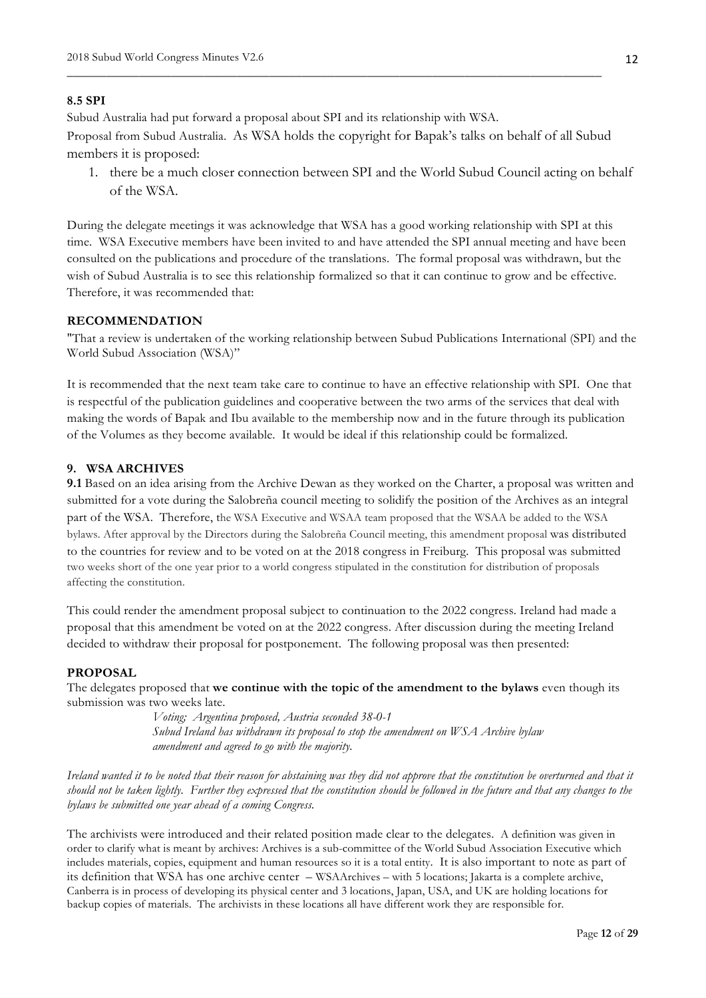# **8.5 SPI**

Subud Australia had put forward a proposal about SPI and its relationship with WSA.

Proposal from Subud Australia. As WSA holds the copyright for Bapak's talks on behalf of all Subud members it is proposed:

\_\_\_\_\_\_\_\_\_\_\_\_\_\_\_\_\_\_\_\_\_\_\_\_\_\_\_\_\_\_\_\_\_\_\_\_\_\_\_\_\_\_\_\_\_\_\_\_\_\_\_\_\_\_\_\_\_\_\_\_\_\_\_\_\_\_\_\_\_\_\_\_\_\_\_\_\_\_\_\_\_\_

1. there be a much closer connection between SPI and the World Subud Council acting on behalf of the WSA.

During the delegate meetings it was acknowledge that WSA has a good working relationship with SPI at this time. WSA Executive members have been invited to and have attended the SPI annual meeting and have been consulted on the publications and procedure of the translations. The formal proposal was withdrawn, but the wish of Subud Australia is to see this relationship formalized so that it can continue to grow and be effective. Therefore, it was recommended that:

#### **RECOMMENDATION**

"That a review is undertaken of the working relationship between Subud Publications International (SPI) and the World Subud Association (WSA)"

It is recommended that the next team take care to continue to have an effective relationship with SPI. One that is respectful of the publication guidelines and cooperative between the two arms of the services that deal with making the words of Bapak and Ibu available to the membership now and in the future through its publication of the Volumes as they become available. It would be ideal if this relationship could be formalized.

#### **9. WSA ARCHIVES**

**9.1** Based on an idea arising from the Archive Dewan as they worked on the Charter, a proposal was written and submitted for a vote during the Salobreña council meeting to solidify the position of the Archives as an integral part of the WSA. Therefore, the WSA Executive and WSAA team proposed that the WSAA be added to the WSA bylaws. After approval by the Directors during the Salobreña Council meeting, this amendment proposal was distributed to the countries for review and to be voted on at the 2018 congress in Freiburg. This proposal was submitted two weeks short of the one year prior to a world congress stipulated in the constitution for distribution of proposals affecting the constitution.

This could render the amendment proposal subject to continuation to the 2022 congress. Ireland had made a proposal that this amendment be voted on at the 2022 congress. After discussion during the meeting Ireland decided to withdraw their proposal for postponement. The following proposal was then presented:

## **PROPOSAL**

The delegates proposed that **we continue with the topic of the amendment to the bylaws** even though its submission was two weeks late.

> *Voting; Argentina proposed, Austria seconded 38-0-1 Subud Ireland has withdrawn its proposal to stop the amendment on WSA Archive bylaw amendment and agreed to go with the majority.*

*Ireland wanted it to be noted that their reason for abstaining was they did not approve that the constitution be overturned and that it should not be taken lightly. Further they expressed that the constitution should be followed in the future and that any changes to the bylaws be submitted one year ahead of a coming Congress.*

The archivists were introduced and their related position made clear to the delegates. A definition was given in order to clarify what is meant by archives: Archives is a sub-committee of the World Subud Association Executive which includes materials, copies, equipment and human resources so it is a total entity. It is also important to note as part of its definition that WSA has one archive center – WSAArchives – with 5 locations; Jakarta is a complete archive, Canberra is in process of developing its physical center and 3 locations, Japan, USA, and UK are holding locations for backup copies of materials. The archivists in these locations all have different work they are responsible for.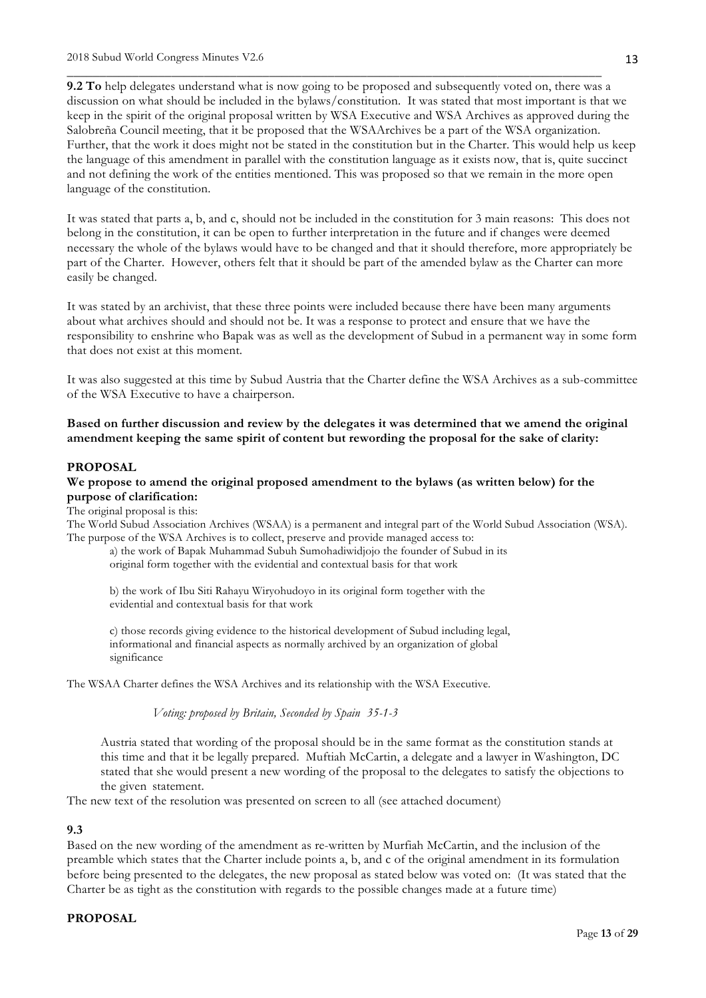**9.2 To** help delegates understand what is now going to be proposed and subsequently voted on, there was a discussion on what should be included in the bylaws/constitution. It was stated that most important is that we keep in the spirit of the original proposal written by WSA Executive and WSA Archives as approved during the Salobreña Council meeting, that it be proposed that the WSAArchives be a part of the WSA organization. Further, that the work it does might not be stated in the constitution but in the Charter. This would help us keep the language of this amendment in parallel with the constitution language as it exists now, that is, quite succinct and not defining the work of the entities mentioned. This was proposed so that we remain in the more open language of the constitution.

\_\_\_\_\_\_\_\_\_\_\_\_\_\_\_\_\_\_\_\_\_\_\_\_\_\_\_\_\_\_\_\_\_\_\_\_\_\_\_\_\_\_\_\_\_\_\_\_\_\_\_\_\_\_\_\_\_\_\_\_\_\_\_\_\_\_\_\_\_\_\_\_\_\_\_\_\_\_\_\_\_\_

It was stated that parts a, b, and c, should not be included in the constitution for 3 main reasons: This does not belong in the constitution, it can be open to further interpretation in the future and if changes were deemed necessary the whole of the bylaws would have to be changed and that it should therefore, more appropriately be part of the Charter. However, others felt that it should be part of the amended bylaw as the Charter can more easily be changed.

It was stated by an archivist, that these three points were included because there have been many arguments about what archives should and should not be. It was a response to protect and ensure that we have the responsibility to enshrine who Bapak was as well as the development of Subud in a permanent way in some form that does not exist at this moment.

It was also suggested at this time by Subud Austria that the Charter define the WSA Archives as a sub-committee of the WSA Executive to have a chairperson.

**Based on further discussion and review by the delegates it was determined that we amend the original amendment keeping the same spirit of content but rewording the proposal for the sake of clarity:**

#### **PROPOSAL**

#### **We propose to amend the original proposed amendment to the bylaws (as written below) for the purpose of clarification:**

The original proposal is this:

The World Subud Association Archives (WSAA) is a permanent and integral part of the World Subud Association (WSA). The purpose of the WSA Archives is to collect, preserve and provide managed access to:

a) the work of Bapak Muhammad Subuh Sumohadiwidjojo the founder of Subud in its original form together with the evidential and contextual basis for that work

b) the work of Ibu Siti Rahayu Wiryohudoyo in its original form together with the evidential and contextual basis for that work

c) those records giving evidence to the historical development of Subud including legal, informational and financial aspects as normally archived by an organization of global significance

The WSAA Charter defines the WSA Archives and its relationship with the WSA Executive.

*Voting: proposed by Britain, Seconded by Spain 35-1-3*

Austria stated that wording of the proposal should be in the same format as the constitution stands at this time and that it be legally prepared. Muftiah McCartin, a delegate and a lawyer in Washington, DC stated that she would present a new wording of the proposal to the delegates to satisfy the objections to the given statement.

The new text of the resolution was presented on screen to all (see attached document)

#### **9.3**

Based on the new wording of the amendment as re-written by Murfiah McCartin, and the inclusion of the preamble which states that the Charter include points a, b, and c of the original amendment in its formulation before being presented to the delegates, the new proposal as stated below was voted on: (It was stated that the Charter be as tight as the constitution with regards to the possible changes made at a future time)

#### **PROPOSAL**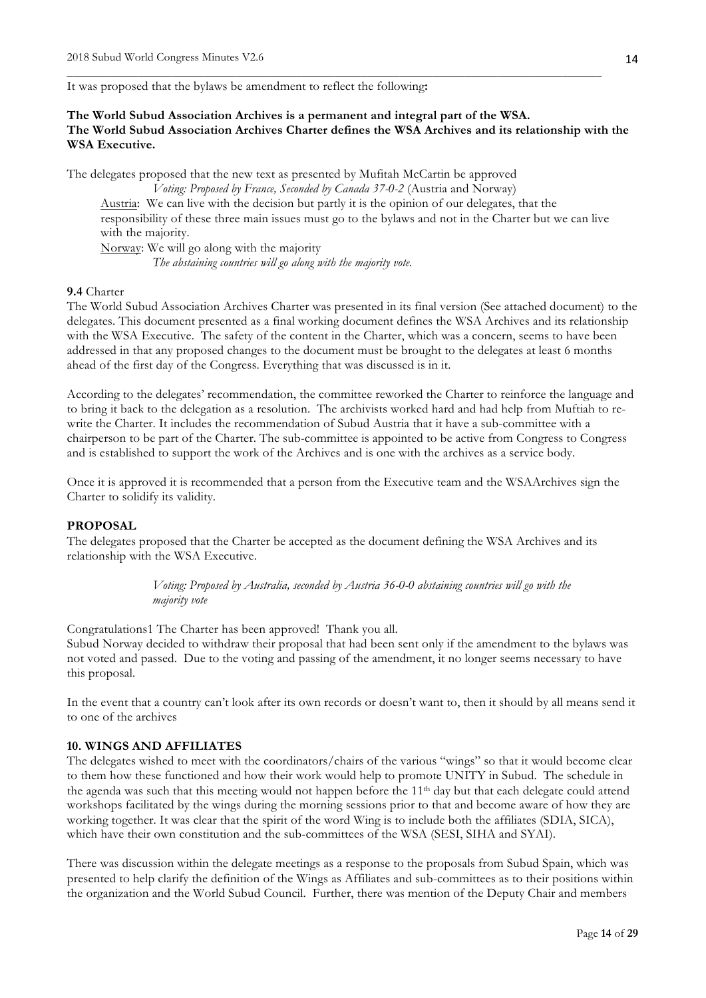It was proposed that the bylaws be amendment to reflect the following**:**

*The abstaining countries will go along with the majority vote.* 

# **The World Subud Association Archives is a permanent and integral part of the WSA. The World Subud Association Archives Charter defines the WSA Archives and its relationship with the WSA Executive.**

\_\_\_\_\_\_\_\_\_\_\_\_\_\_\_\_\_\_\_\_\_\_\_\_\_\_\_\_\_\_\_\_\_\_\_\_\_\_\_\_\_\_\_\_\_\_\_\_\_\_\_\_\_\_\_\_\_\_\_\_\_\_\_\_\_\_\_\_\_\_\_\_\_\_\_\_\_\_\_\_\_\_

The delegates proposed that the new text as presented by Mufitah McCartin be approved *Voting: Proposed by France, Seconded by Canada 37-0-2* (Austria and Norway) Austria: We can live with the decision but partly it is the opinion of our delegates, that the responsibility of these three main issues must go to the bylaws and not in the Charter but we can live with the majority. Norway: We will go along with the majority

#### **9.4** Charter

The World Subud Association Archives Charter was presented in its final version (See attached document) to the delegates. This document presented as a final working document defines the WSA Archives and its relationship with the WSA Executive. The safety of the content in the Charter, which was a concern, seems to have been addressed in that any proposed changes to the document must be brought to the delegates at least 6 months ahead of the first day of the Congress. Everything that was discussed is in it.

According to the delegates' recommendation, the committee reworked the Charter to reinforce the language and to bring it back to the delegation as a resolution. The archivists worked hard and had help from Muftiah to rewrite the Charter. It includes the recommendation of Subud Austria that it have a sub-committee with a chairperson to be part of the Charter. The sub-committee is appointed to be active from Congress to Congress and is established to support the work of the Archives and is one with the archives as a service body.

Once it is approved it is recommended that a person from the Executive team and the WSAArchives sign the Charter to solidify its validity.

#### **PROPOSAL**

The delegates proposed that the Charter be accepted as the document defining the WSA Archives and its relationship with the WSA Executive.

> *Voting: Proposed by Australia, seconded by Austria 36-0-0 abstaining countries will go with the majority vote*

Congratulations1 The Charter has been approved! Thank you all.

Subud Norway decided to withdraw their proposal that had been sent only if the amendment to the bylaws was not voted and passed. Due to the voting and passing of the amendment, it no longer seems necessary to have this proposal.

In the event that a country can't look after its own records or doesn't want to, then it should by all means send it to one of the archives

#### **10. WINGS AND AFFILIATES**

The delegates wished to meet with the coordinators/chairs of the various "wings" so that it would become clear to them how these functioned and how their work would help to promote UNITY in Subud. The schedule in the agenda was such that this meeting would not happen before the 11th day but that each delegate could attend workshops facilitated by the wings during the morning sessions prior to that and become aware of how they are working together. It was clear that the spirit of the word Wing is to include both the affiliates (SDIA, SICA), which have their own constitution and the sub-committees of the WSA (SESI, SIHA and SYAI).

There was discussion within the delegate meetings as a response to the proposals from Subud Spain, which was presented to help clarify the definition of the Wings as Affiliates and sub-committees as to their positions within the organization and the World Subud Council. Further, there was mention of the Deputy Chair and members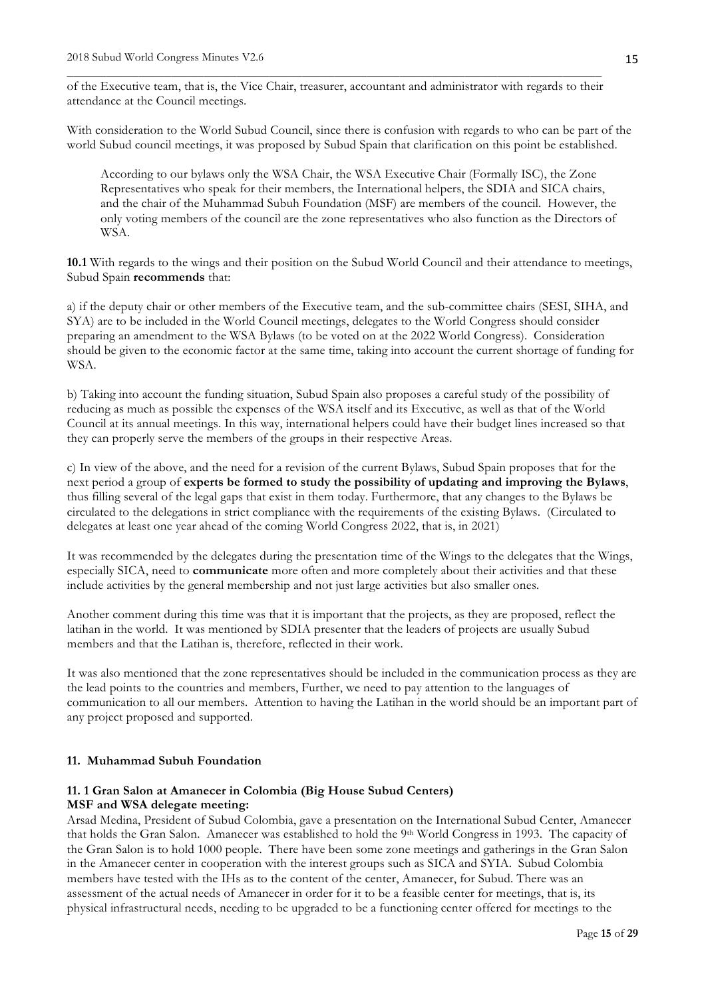\_\_\_\_\_\_\_\_\_\_\_\_\_\_\_\_\_\_\_\_\_\_\_\_\_\_\_\_\_\_\_\_\_\_\_\_\_\_\_\_\_\_\_\_\_\_\_\_\_\_\_\_\_\_\_\_\_\_\_\_\_\_\_\_\_\_\_\_\_\_\_\_\_\_\_\_\_\_\_\_\_\_ of the Executive team, that is, the Vice Chair, treasurer, accountant and administrator with regards to their attendance at the Council meetings.

With consideration to the World Subud Council, since there is confusion with regards to who can be part of the world Subud council meetings, it was proposed by Subud Spain that clarification on this point be established.

According to our bylaws only the WSA Chair, the WSA Executive Chair (Formally ISC), the Zone Representatives who speak for their members, the International helpers, the SDIA and SICA chairs, and the chair of the Muhammad Subuh Foundation (MSF) are members of the council. However, the only voting members of the council are the zone representatives who also function as the Directors of WSA.

**10.1** With regards to the wings and their position on the Subud World Council and their attendance to meetings, Subud Spain **recommends** that:

a) if the deputy chair or other members of the Executive team, and the sub-committee chairs (SESI, SIHA, and SYA) are to be included in the World Council meetings, delegates to the World Congress should consider preparing an amendment to the WSA Bylaws (to be voted on at the 2022 World Congress). Consideration should be given to the economic factor at the same time, taking into account the current shortage of funding for WSA.

b) Taking into account the funding situation, Subud Spain also proposes a careful study of the possibility of reducing as much as possible the expenses of the WSA itself and its Executive, as well as that of the World Council at its annual meetings. In this way, international helpers could have their budget lines increased so that they can properly serve the members of the groups in their respective Areas.

c) In view of the above, and the need for a revision of the current Bylaws, Subud Spain proposes that for the next period a group of **experts be formed to study the possibility of updating and improving the Bylaws**, thus filling several of the legal gaps that exist in them today. Furthermore, that any changes to the Bylaws be circulated to the delegations in strict compliance with the requirements of the existing Bylaws. (Circulated to delegates at least one year ahead of the coming World Congress 2022, that is, in 2021)

It was recommended by the delegates during the presentation time of the Wings to the delegates that the Wings, especially SICA, need to **communicate** more often and more completely about their activities and that these include activities by the general membership and not just large activities but also smaller ones.

Another comment during this time was that it is important that the projects, as they are proposed, reflect the latihan in the world. It was mentioned by SDIA presenter that the leaders of projects are usually Subud members and that the Latihan is, therefore, reflected in their work.

It was also mentioned that the zone representatives should be included in the communication process as they are the lead points to the countries and members, Further, we need to pay attention to the languages of communication to all our members. Attention to having the Latihan in the world should be an important part of any project proposed and supported.

#### **11. Muhammad Subuh Foundation**

#### **11. 1 Gran Salon at Amanecer in Colombia (Big House Subud Centers) MSF and WSA delegate meeting:**

Arsad Medina, President of Subud Colombia, gave a presentation on the International Subud Center, Amanecer that holds the Gran Salon. Amanecer was established to hold the 9<sup>th</sup> World Congress in 1993. The capacity of the Gran Salon is to hold 1000 people. There have been some zone meetings and gatherings in the Gran Salon in the Amanecer center in cooperation with the interest groups such as SICA and SYIA. Subud Colombia members have tested with the IHs as to the content of the center, Amanecer, for Subud. There was an assessment of the actual needs of Amanecer in order for it to be a feasible center for meetings, that is, its physical infrastructural needs, needing to be upgraded to be a functioning center offered for meetings to the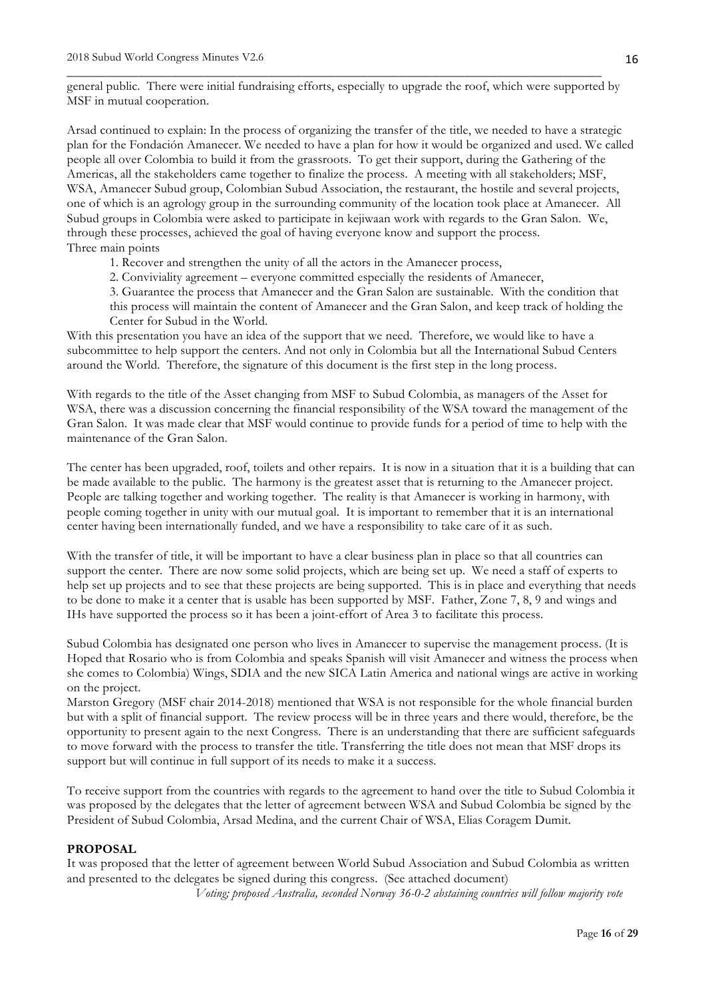general public. There were initial fundraising efforts, especially to upgrade the roof, which were supported by MSF in mutual cooperation.

\_\_\_\_\_\_\_\_\_\_\_\_\_\_\_\_\_\_\_\_\_\_\_\_\_\_\_\_\_\_\_\_\_\_\_\_\_\_\_\_\_\_\_\_\_\_\_\_\_\_\_\_\_\_\_\_\_\_\_\_\_\_\_\_\_\_\_\_\_\_\_\_\_\_\_\_\_\_\_\_\_\_

Arsad continued to explain: In the process of organizing the transfer of the title, we needed to have a strategic plan for the Fondación Amanecer. We needed to have a plan for how it would be organized and used. We called people all over Colombia to build it from the grassroots. To get their support, during the Gathering of the Americas, all the stakeholders came together to finalize the process. A meeting with all stakeholders; MSF, WSA, Amanecer Subud group, Colombian Subud Association, the restaurant, the hostile and several projects, one of which is an agrology group in the surrounding community of the location took place at Amanecer. All Subud groups in Colombia were asked to participate in kejiwaan work with regards to the Gran Salon. We, through these processes, achieved the goal of having everyone know and support the process. Three main points

- 1. Recover and strengthen the unity of all the actors in the Amanecer process,
- 2. Conviviality agreement everyone committed especially the residents of Amanecer,
- 3. Guarantee the process that Amanecer and the Gran Salon are sustainable. With the condition that

this process will maintain the content of Amanecer and the Gran Salon, and keep track of holding the Center for Subud in the World.

With this presentation you have an idea of the support that we need. Therefore, we would like to have a subcommittee to help support the centers. And not only in Colombia but all the International Subud Centers around the World. Therefore, the signature of this document is the first step in the long process.

With regards to the title of the Asset changing from MSF to Subud Colombia, as managers of the Asset for WSA, there was a discussion concerning the financial responsibility of the WSA toward the management of the Gran Salon. It was made clear that MSF would continue to provide funds for a period of time to help with the maintenance of the Gran Salon.

The center has been upgraded, roof, toilets and other repairs. It is now in a situation that it is a building that can be made available to the public. The harmony is the greatest asset that is returning to the Amanecer project. People are talking together and working together. The reality is that Amanecer is working in harmony, with people coming together in unity with our mutual goal. It is important to remember that it is an international center having been internationally funded, and we have a responsibility to take care of it as such.

With the transfer of title, it will be important to have a clear business plan in place so that all countries can support the center. There are now some solid projects, which are being set up. We need a staff of experts to help set up projects and to see that these projects are being supported. This is in place and everything that needs to be done to make it a center that is usable has been supported by MSF. Father, Zone 7, 8, 9 and wings and IHs have supported the process so it has been a joint-effort of Area 3 to facilitate this process.

Subud Colombia has designated one person who lives in Amanecer to supervise the management process. (It is Hoped that Rosario who is from Colombia and speaks Spanish will visit Amanecer and witness the process when she comes to Colombia) Wings, SDIA and the new SICA Latin America and national wings are active in working on the project.

Marston Gregory (MSF chair 2014-2018) mentioned that WSA is not responsible for the whole financial burden but with a split of financial support. The review process will be in three years and there would, therefore, be the opportunity to present again to the next Congress. There is an understanding that there are sufficient safeguards to move forward with the process to transfer the title. Transferring the title does not mean that MSF drops its support but will continue in full support of its needs to make it a success.

To receive support from the countries with regards to the agreement to hand over the title to Subud Colombia it was proposed by the delegates that the letter of agreement between WSA and Subud Colombia be signed by the President of Subud Colombia, Arsad Medina, and the current Chair of WSA, Elias Coragem Dumit.

#### **PROPOSAL**

It was proposed that the letter of agreement between World Subud Association and Subud Colombia as written and presented to the delegates be signed during this congress. (See attached document)

*Voting; proposed Australia, seconded Norway 36-0-2 abstaining countries will follow majority vote*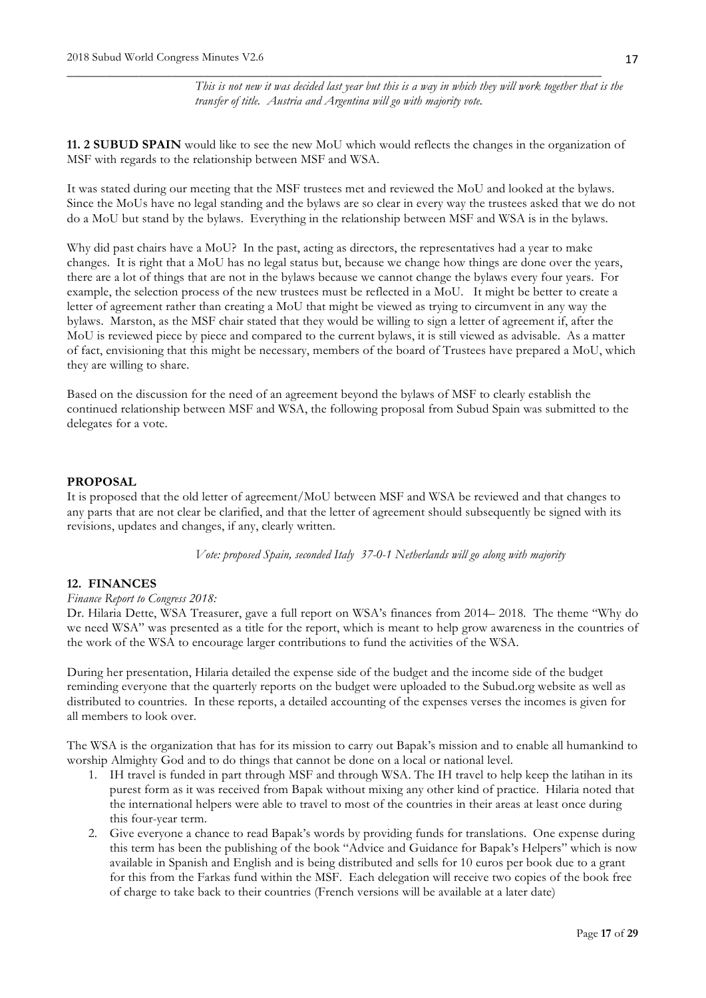*This is not new it was decided last year but this is a way in which they will work together that is the transfer of title. Austria and Argentina will go with majority vote.*

**11. 2 SUBUD SPAIN** would like to see the new MoU which would reflects the changes in the organization of MSF with regards to the relationship between MSF and WSA.

\_\_\_\_\_\_\_\_\_\_\_\_\_\_\_\_\_\_\_\_\_\_\_\_\_\_\_\_\_\_\_\_\_\_\_\_\_\_\_\_\_\_\_\_\_\_\_\_\_\_\_\_\_\_\_\_\_\_\_\_\_\_\_\_\_\_\_\_\_\_\_\_\_\_\_\_\_\_\_\_\_\_

It was stated during our meeting that the MSF trustees met and reviewed the MoU and looked at the bylaws. Since the MoUs have no legal standing and the bylaws are so clear in every way the trustees asked that we do not do a MoU but stand by the bylaws. Everything in the relationship between MSF and WSA is in the bylaws.

Why did past chairs have a MoU? In the past, acting as directors, the representatives had a year to make changes. It is right that a MoU has no legal status but, because we change how things are done over the years, there are a lot of things that are not in the bylaws because we cannot change the bylaws every four years. For example, the selection process of the new trustees must be reflected in a MoU. It might be better to create a letter of agreement rather than creating a MoU that might be viewed as trying to circumvent in any way the bylaws. Marston, as the MSF chair stated that they would be willing to sign a letter of agreement if, after the MoU is reviewed piece by piece and compared to the current bylaws, it is still viewed as advisable. As a matter of fact, envisioning that this might be necessary, members of the board of Trustees have prepared a MoU, which they are willing to share.

Based on the discussion for the need of an agreement beyond the bylaws of MSF to clearly establish the continued relationship between MSF and WSA, the following proposal from Subud Spain was submitted to the delegates for a vote.

## **PROPOSAL**

It is proposed that the old letter of agreement/MoU between MSF and WSA be reviewed and that changes to any parts that are not clear be clarified, and that the letter of agreement should subsequently be signed with its revisions, updates and changes, if any, clearly written.

*Vote: proposed Spain, seconded Italy 37-0-1 Netherlands will go along with majority*

# **12. FINANCES**

#### *Finance Report to Congress 2018:*

Dr. Hilaria Dette, WSA Treasurer, gave a full report on WSA's finances from 2014– 2018. The theme "Why do we need WSA" was presented as a title for the report, which is meant to help grow awareness in the countries of the work of the WSA to encourage larger contributions to fund the activities of the WSA.

During her presentation, Hilaria detailed the expense side of the budget and the income side of the budget reminding everyone that the quarterly reports on the budget were uploaded to the Subud.org website as well as distributed to countries. In these reports, a detailed accounting of the expenses verses the incomes is given for all members to look over.

The WSA is the organization that has for its mission to carry out Bapak's mission and to enable all humankind to worship Almighty God and to do things that cannot be done on a local or national level.

- 1. IH travel is funded in part through MSF and through WSA. The IH travel to help keep the latihan in its purest form as it was received from Bapak without mixing any other kind of practice. Hilaria noted that the international helpers were able to travel to most of the countries in their areas at least once during this four-year term.
- 2. Give everyone a chance to read Bapak's words by providing funds for translations. One expense during this term has been the publishing of the book "Advice and Guidance for Bapak's Helpers" which is now available in Spanish and English and is being distributed and sells for 10 euros per book due to a grant for this from the Farkas fund within the MSF. Each delegation will receive two copies of the book free of charge to take back to their countries (French versions will be available at a later date)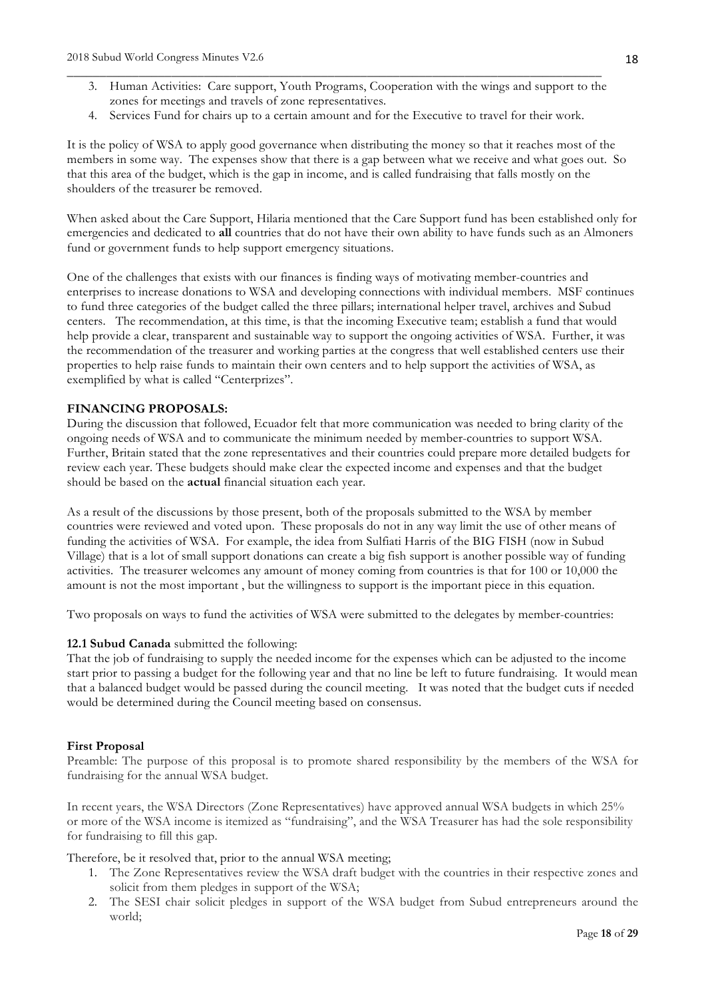- 3. Human Activities: Care support, Youth Programs, Cooperation with the wings and support to the zones for meetings and travels of zone representatives.
- 4. Services Fund for chairs up to a certain amount and for the Executive to travel for their work.

\_\_\_\_\_\_\_\_\_\_\_\_\_\_\_\_\_\_\_\_\_\_\_\_\_\_\_\_\_\_\_\_\_\_\_\_\_\_\_\_\_\_\_\_\_\_\_\_\_\_\_\_\_\_\_\_\_\_\_\_\_\_\_\_\_\_\_\_\_\_\_\_\_\_\_\_\_\_\_\_\_\_

It is the policy of WSA to apply good governance when distributing the money so that it reaches most of the members in some way. The expenses show that there is a gap between what we receive and what goes out. So that this area of the budget, which is the gap in income, and is called fundraising that falls mostly on the shoulders of the treasurer be removed.

When asked about the Care Support, Hilaria mentioned that the Care Support fund has been established only for emergencies and dedicated to **all** countries that do not have their own ability to have funds such as an Almoners fund or government funds to help support emergency situations.

One of the challenges that exists with our finances is finding ways of motivating member-countries and enterprises to increase donations to WSA and developing connections with individual members. MSF continues to fund three categories of the budget called the three pillars; international helper travel, archives and Subud centers. The recommendation, at this time, is that the incoming Executive team; establish a fund that would help provide a clear, transparent and sustainable way to support the ongoing activities of WSA. Further, it was the recommendation of the treasurer and working parties at the congress that well established centers use their properties to help raise funds to maintain their own centers and to help support the activities of WSA, as exemplified by what is called "Centerprizes".

#### **FINANCING PROPOSALS:**

During the discussion that followed, Ecuador felt that more communication was needed to bring clarity of the ongoing needs of WSA and to communicate the minimum needed by member-countries to support WSA. Further, Britain stated that the zone representatives and their countries could prepare more detailed budgets for review each year. These budgets should make clear the expected income and expenses and that the budget should be based on the **actual** financial situation each year.

As a result of the discussions by those present, both of the proposals submitted to the WSA by member countries were reviewed and voted upon. These proposals do not in any way limit the use of other means of funding the activities of WSA. For example, the idea from Sulfiati Harris of the BIG FISH (now in Subud Village) that is a lot of small support donations can create a big fish support is another possible way of funding activities. The treasurer welcomes any amount of money coming from countries is that for 100 or 10,000 the amount is not the most important , but the willingness to support is the important piece in this equation.

Two proposals on ways to fund the activities of WSA were submitted to the delegates by member-countries:

## **12.1 Subud Canada** submitted the following:

That the job of fundraising to supply the needed income for the expenses which can be adjusted to the income start prior to passing a budget for the following year and that no line be left to future fundraising. It would mean that a balanced budget would be passed during the council meeting. It was noted that the budget cuts if needed would be determined during the Council meeting based on consensus.

#### **First Proposal**

Preamble: The purpose of this proposal is to promote shared responsibility by the members of the WSA for fundraising for the annual WSA budget.

In recent years, the WSA Directors (Zone Representatives) have approved annual WSA budgets in which 25% or more of the WSA income is itemized as "fundraising", and the WSA Treasurer has had the sole responsibility for fundraising to fill this gap.

Therefore, be it resolved that, prior to the annual WSA meeting;

- 1. The Zone Representatives review the WSA draft budget with the countries in their respective zones and solicit from them pledges in support of the WSA;
- 2. The SESI chair solicit pledges in support of the WSA budget from Subud entrepreneurs around the world;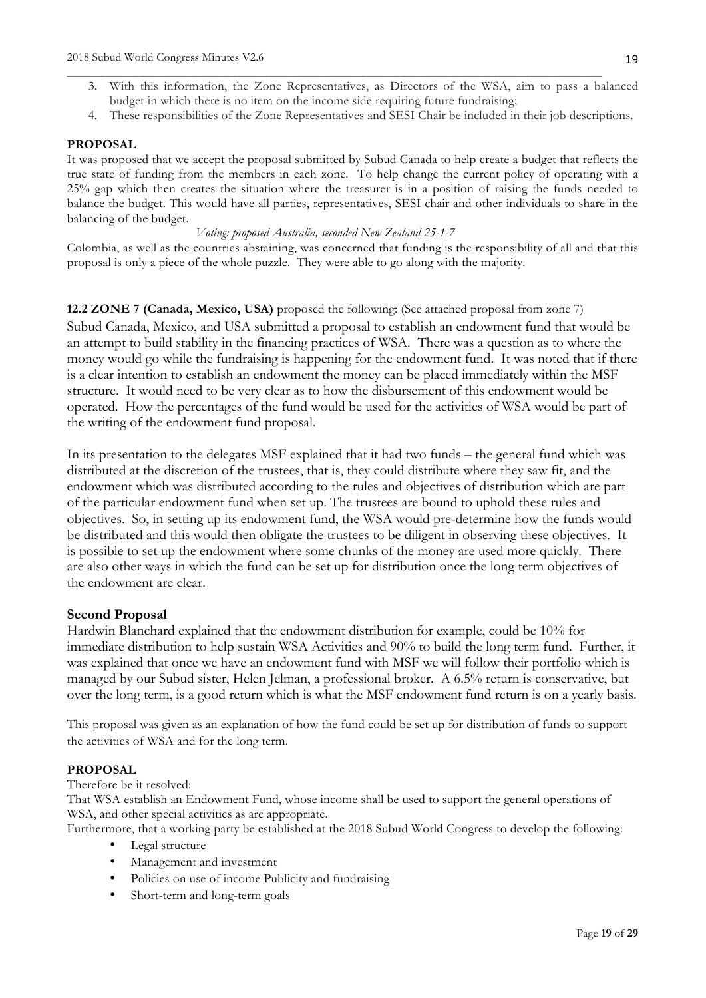3. With this information, the Zone Representatives, as Directors of the WSA, aim to pass a balanced budget in which there is no item on the income side requiring future fundraising;

\_\_\_\_\_\_\_\_\_\_\_\_\_\_\_\_\_\_\_\_\_\_\_\_\_\_\_\_\_\_\_\_\_\_\_\_\_\_\_\_\_\_\_\_\_\_\_\_\_\_\_\_\_\_\_\_\_\_\_\_\_\_\_\_\_\_\_\_\_\_\_\_\_\_\_\_\_\_\_\_\_\_

4. These responsibilities of the Zone Representatives and SESI Chair be included in their job descriptions.

# **PROPOSAL**

It was proposed that we accept the proposal submitted by Subud Canada to help create a budget that reflects the true state of funding from the members in each zone. To help change the current policy of operating with a 25% gap which then creates the situation where the treasurer is in a position of raising the funds needed to balance the budget. This would have all parties, representatives, SESI chair and other individuals to share in the balancing of the budget.

#### *Voting: proposed Australia, seconded New Zealand 25-1-7*

Colombia, as well as the countries abstaining, was concerned that funding is the responsibility of all and that this proposal is only a piece of the whole puzzle. They were able to go along with the majority.

**12.2 ZONE 7 (Canada, Mexico, USA)** proposed the following: (See attached proposal from zone 7) Subud Canada, Mexico, and USA submitted a proposal to establish an endowment fund that would be an attempt to build stability in the financing practices of WSA. There was a question as to where the money would go while the fundraising is happening for the endowment fund. It was noted that if there is a clear intention to establish an endowment the money can be placed immediately within the MSF structure. It would need to be very clear as to how the disbursement of this endowment would be operated. How the percentages of the fund would be used for the activities of WSA would be part of the writing of the endowment fund proposal.

In its presentation to the delegates MSF explained that it had two funds – the general fund which was distributed at the discretion of the trustees, that is, they could distribute where they saw fit, and the endowment which was distributed according to the rules and objectives of distribution which are part of the particular endowment fund when set up. The trustees are bound to uphold these rules and objectives. So, in setting up its endowment fund, the WSA would pre-determine how the funds would be distributed and this would then obligate the trustees to be diligent in observing these objectives. It is possible to set up the endowment where some chunks of the money are used more quickly. There are also other ways in which the fund can be set up for distribution once the long term objectives of the endowment are clear.

# **Second Proposal**

Hardwin Blanchard explained that the endowment distribution for example, could be 10% for immediate distribution to help sustain WSA Activities and 90% to build the long term fund. Further, it was explained that once we have an endowment fund with MSF we will follow their portfolio which is managed by our Subud sister, Helen Jelman, a professional broker. A 6.5% return is conservative, but over the long term, is a good return which is what the MSF endowment fund return is on a yearly basis.

This proposal was given as an explanation of how the fund could be set up for distribution of funds to support the activities of WSA and for the long term.

# **PROPOSAL**

Therefore be it resolved:

That WSA establish an Endowment Fund, whose income shall be used to support the general operations of WSA, and other special activities as are appropriate.

Furthermore, that a working party be established at the 2018 Subud World Congress to develop the following:

- Legal structure
- Management and investment
- Policies on use of income Publicity and fundraising
- Short-term and long-term goals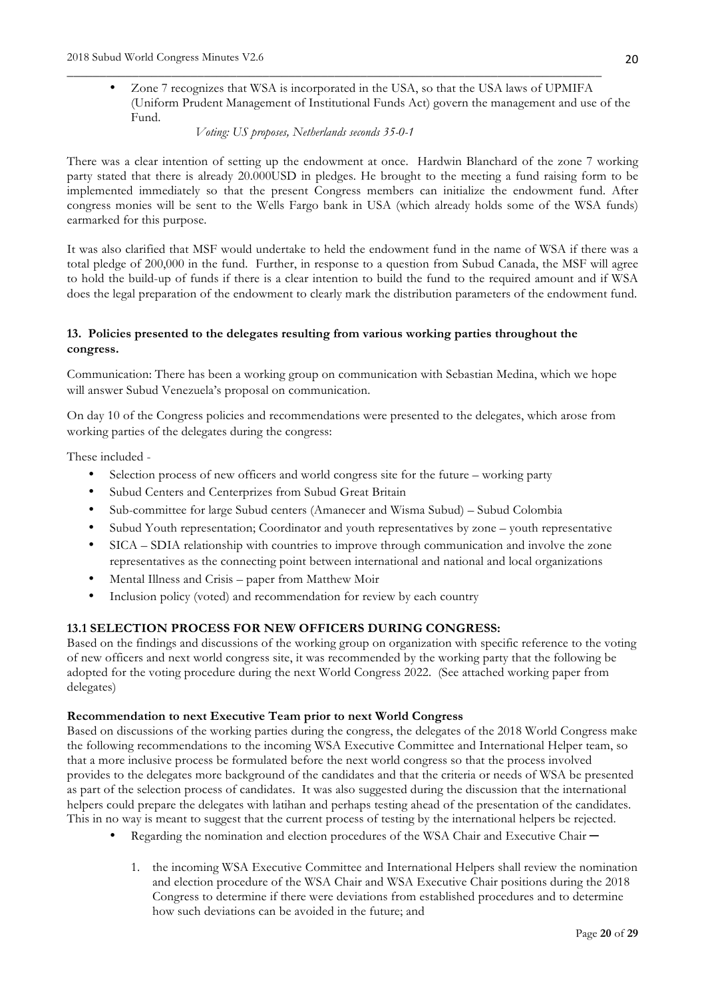• Zone 7 recognizes that WSA is incorporated in the USA, so that the USA laws of UPMIFA (Uniform Prudent Management of Institutional Funds Act) govern the management and use of the Fund.

\_\_\_\_\_\_\_\_\_\_\_\_\_\_\_\_\_\_\_\_\_\_\_\_\_\_\_\_\_\_\_\_\_\_\_\_\_\_\_\_\_\_\_\_\_\_\_\_\_\_\_\_\_\_\_\_\_\_\_\_\_\_\_\_\_\_\_\_\_\_\_\_\_\_\_\_\_\_\_\_\_\_

*Voting: US proposes, Netherlands seconds 35-0-1*

There was a clear intention of setting up the endowment at once. Hardwin Blanchard of the zone 7 working party stated that there is already 20.000USD in pledges. He brought to the meeting a fund raising form to be implemented immediately so that the present Congress members can initialize the endowment fund. After congress monies will be sent to the Wells Fargo bank in USA (which already holds some of the WSA funds) earmarked for this purpose.

It was also clarified that MSF would undertake to held the endowment fund in the name of WSA if there was a total pledge of 200,000 in the fund. Further, in response to a question from Subud Canada, the MSF will agree to hold the build-up of funds if there is a clear intention to build the fund to the required amount and if WSA does the legal preparation of the endowment to clearly mark the distribution parameters of the endowment fund.

# **13. Policies presented to the delegates resulting from various working parties throughout the congress.**

Communication: There has been a working group on communication with Sebastian Medina, which we hope will answer Subud Venezuela's proposal on communication.

On day 10 of the Congress policies and recommendations were presented to the delegates, which arose from working parties of the delegates during the congress:

These included -

- Selection process of new officers and world congress site for the future working party
- Subud Centers and Centerprizes from Subud Great Britain
- Sub-committee for large Subud centers (Amanecer and Wisma Subud) Subud Colombia
- Subud Youth representation; Coordinator and youth representatives by zone youth representative
- SICA SDIA relationship with countries to improve through communication and involve the zone representatives as the connecting point between international and national and local organizations
- Mental Illness and Crisis paper from Matthew Moir
- Inclusion policy (voted) and recommendation for review by each country

# **13.1 SELECTION PROCESS FOR NEW OFFICERS DURING CONGRESS:**

Based on the findings and discussions of the working group on organization with specific reference to the voting of new officers and next world congress site, it was recommended by the working party that the following be adopted for the voting procedure during the next World Congress 2022. (See attached working paper from delegates)

## **Recommendation to next Executive Team prior to next World Congress**

Based on discussions of the working parties during the congress, the delegates of the 2018 World Congress make the following recommendations to the incoming WSA Executive Committee and International Helper team, so that a more inclusive process be formulated before the next world congress so that the process involved provides to the delegates more background of the candidates and that the criteria or needs of WSA be presented as part of the selection process of candidates. It was also suggested during the discussion that the international helpers could prepare the delegates with latihan and perhaps testing ahead of the presentation of the candidates. This in no way is meant to suggest that the current process of testing by the international helpers be rejected.

- Regarding the nomination and election procedures of the WSA Chair and Executive Chair ─
	- 1. the incoming WSA Executive Committee and International Helpers shall review the nomination and election procedure of the WSA Chair and WSA Executive Chair positions during the 2018 Congress to determine if there were deviations from established procedures and to determine how such deviations can be avoided in the future; and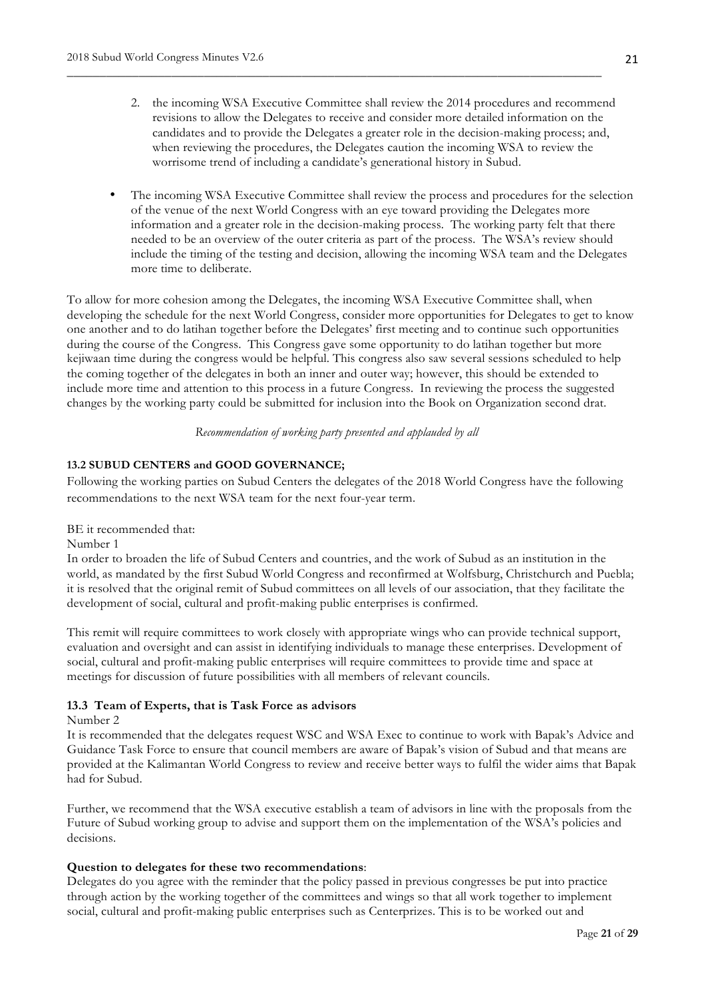2. the incoming WSA Executive Committee shall review the 2014 procedures and recommend revisions to allow the Delegates to receive and consider more detailed information on the candidates and to provide the Delegates a greater role in the decision-making process; and, when reviewing the procedures, the Delegates caution the incoming WSA to review the worrisome trend of including a candidate's generational history in Subud.

\_\_\_\_\_\_\_\_\_\_\_\_\_\_\_\_\_\_\_\_\_\_\_\_\_\_\_\_\_\_\_\_\_\_\_\_\_\_\_\_\_\_\_\_\_\_\_\_\_\_\_\_\_\_\_\_\_\_\_\_\_\_\_\_\_\_\_\_\_\_\_\_\_\_\_\_\_\_\_\_\_\_

• The incoming WSA Executive Committee shall review the process and procedures for the selection of the venue of the next World Congress with an eye toward providing the Delegates more information and a greater role in the decision-making process. The working party felt that there needed to be an overview of the outer criteria as part of the process. The WSA's review should include the timing of the testing and decision, allowing the incoming WSA team and the Delegates more time to deliberate.

To allow for more cohesion among the Delegates, the incoming WSA Executive Committee shall, when developing the schedule for the next World Congress, consider more opportunities for Delegates to get to know one another and to do latihan together before the Delegates' first meeting and to continue such opportunities during the course of the Congress. This Congress gave some opportunity to do latihan together but more kejiwaan time during the congress would be helpful. This congress also saw several sessions scheduled to help the coming together of the delegates in both an inner and outer way; however, this should be extended to include more time and attention to this process in a future Congress. In reviewing the process the suggested changes by the working party could be submitted for inclusion into the Book on Organization second drat.

#### *Recommendation of working party presented and applauded by all*

# **13.2 SUBUD CENTERS and GOOD GOVERNANCE;**

Following the working parties on Subud Centers the delegates of the 2018 World Congress have the following recommendations to the next WSA team for the next four-year term.

BE it recommended that:

Number 1

In order to broaden the life of Subud Centers and countries, and the work of Subud as an institution in the world, as mandated by the first Subud World Congress and reconfirmed at Wolfsburg, Christchurch and Puebla; it is resolved that the original remit of Subud committees on all levels of our association, that they facilitate the development of social, cultural and profit-making public enterprises is confirmed.

This remit will require committees to work closely with appropriate wings who can provide technical support, evaluation and oversight and can assist in identifying individuals to manage these enterprises. Development of social, cultural and profit-making public enterprises will require committees to provide time and space at meetings for discussion of future possibilities with all members of relevant councils.

# **13.3 Team of Experts, that is Task Force as advisors**

Number 2

It is recommended that the delegates request WSC and WSA Exec to continue to work with Bapak's Advice and Guidance Task Force to ensure that council members are aware of Bapak's vision of Subud and that means are provided at the Kalimantan World Congress to review and receive better ways to fulfil the wider aims that Bapak had for Subud.

Further, we recommend that the WSA executive establish a team of advisors in line with the proposals from the Future of Subud working group to advise and support them on the implementation of the WSA's policies and decisions.

#### **Question to delegates for these two recommendations**:

Delegates do you agree with the reminder that the policy passed in previous congresses be put into practice through action by the working together of the committees and wings so that all work together to implement social, cultural and profit-making public enterprises such as Centerprizes. This is to be worked out and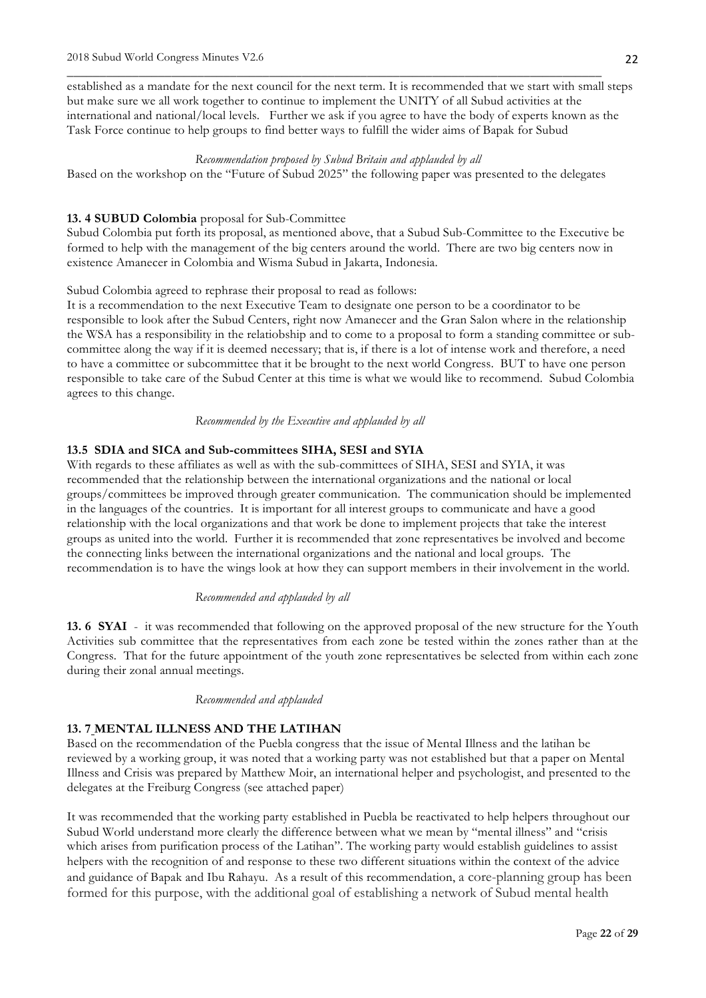established as a mandate for the next council for the next term. It is recommended that we start with small steps but make sure we all work together to continue to implement the UNITY of all Subud activities at the international and national/local levels. Further we ask if you agree to have the body of experts known as the Task Force continue to help groups to find better ways to fulfill the wider aims of Bapak for Subud

\_\_\_\_\_\_\_\_\_\_\_\_\_\_\_\_\_\_\_\_\_\_\_\_\_\_\_\_\_\_\_\_\_\_\_\_\_\_\_\_\_\_\_\_\_\_\_\_\_\_\_\_\_\_\_\_\_\_\_\_\_\_\_\_\_\_\_\_\_\_\_\_\_\_\_\_\_\_\_\_\_\_

#### *Recommendation proposed by Subud Britain and applauded by all*

Based on the workshop on the "Future of Subud 2025" the following paper was presented to the delegates

#### **13. 4 SUBUD Colombia** proposal for Sub-Committee

Subud Colombia put forth its proposal, as mentioned above, that a Subud Sub-Committee to the Executive be formed to help with the management of the big centers around the world. There are two big centers now in existence Amanecer in Colombia and Wisma Subud in Jakarta, Indonesia.

Subud Colombia agreed to rephrase their proposal to read as follows:

It is a recommendation to the next Executive Team to designate one person to be a coordinator to be responsible to look after the Subud Centers, right now Amanecer and the Gran Salon where in the relationship the WSA has a responsibility in the relatiobship and to come to a proposal to form a standing committee or subcommittee along the way if it is deemed necessary; that is, if there is a lot of intense work and therefore, a need to have a committee or subcommittee that it be brought to the next world Congress. BUT to have one person responsible to take care of the Subud Center at this time is what we would like to recommend. Subud Colombia agrees to this change.

*Recommended by the Executive and applauded by all*

## **13.5 SDIA and SICA and Sub-committees SIHA, SESI and SYIA**

With regards to these affiliates as well as with the sub-committees of SIHA, SESI and SYIA, it was recommended that the relationship between the international organizations and the national or local groups/committees be improved through greater communication. The communication should be implemented in the languages of the countries. It is important for all interest groups to communicate and have a good relationship with the local organizations and that work be done to implement projects that take the interest groups as united into the world. Further it is recommended that zone representatives be involved and become the connecting links between the international organizations and the national and local groups. The recommendation is to have the wings look at how they can support members in their involvement in the world.

#### *Recommended and applauded by all*

**13. 6 SYAI** - it was recommended that following on the approved proposal of the new structure for the Youth Activities sub committee that the representatives from each zone be tested within the zones rather than at the Congress. That for the future appointment of the youth zone representatives be selected from within each zone during their zonal annual meetings.

#### *Recommended and applauded*

#### **13. 7 MENTAL ILLNESS AND THE LATIHAN**

Based on the recommendation of the Puebla congress that the issue of Mental Illness and the latihan be reviewed by a working group, it was noted that a working party was not established but that a paper on Mental Illness and Crisis was prepared by Matthew Moir, an international helper and psychologist, and presented to the delegates at the Freiburg Congress (see attached paper)

It was recommended that the working party established in Puebla be reactivated to help helpers throughout our Subud World understand more clearly the difference between what we mean by "mental illness" and "crisis which arises from purification process of the Latihan". The working party would establish guidelines to assist helpers with the recognition of and response to these two different situations within the context of the advice and guidance of Bapak and Ibu Rahayu. As a result of this recommendation, a core-planning group has been formed for this purpose, with the additional goal of establishing a network of Subud mental health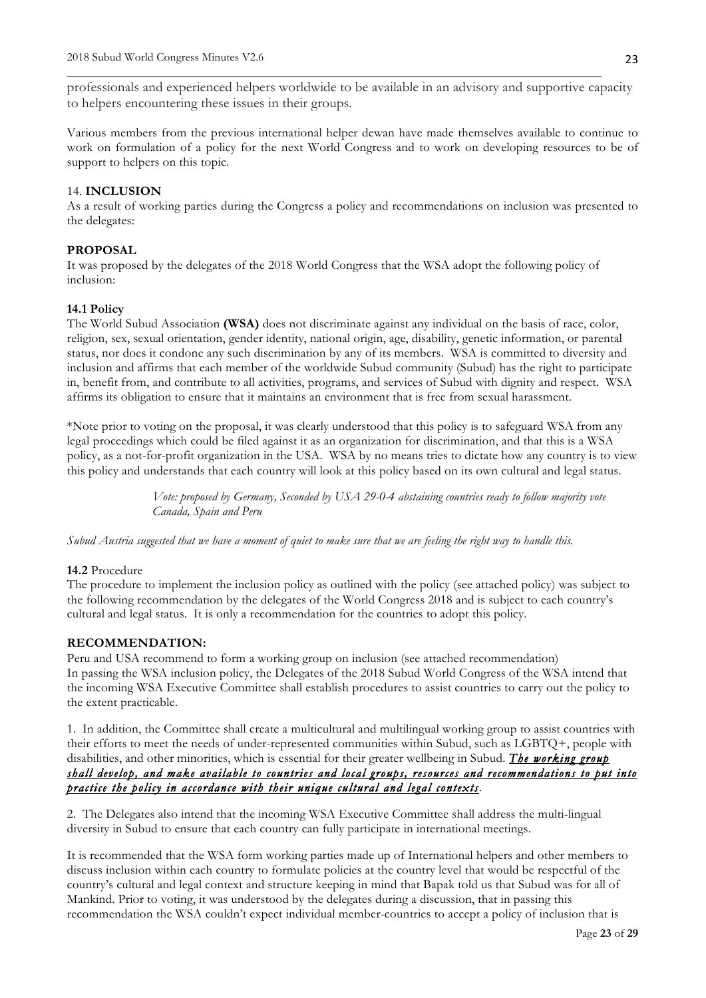professionals and experienced helpers worldwide to be available in an advisory and supportive capacity to helpers encountering these issues in their groups.

\_\_\_\_\_\_\_\_\_\_\_\_\_\_\_\_\_\_\_\_\_\_\_\_\_\_\_\_\_\_\_\_\_\_\_\_\_\_\_\_\_\_\_\_\_\_\_\_\_\_\_\_\_\_\_\_\_\_\_\_\_\_\_\_\_\_\_\_\_\_\_\_\_\_\_\_\_\_\_\_\_\_

Various members from the previous international helper dewan have made themselves available to continue to work on formulation of a policy for the next World Congress and to work on developing resources to be of support to helpers on this topic.

#### 14. **INCLUSION**

As a result of working parties during the Congress a policy and recommendations on inclusion was presented to the delegates:

#### **PROPOSAL**

It was proposed by the delegates of the 2018 World Congress that the WSA adopt the following policy of inclusion:

#### **14.1 Policy**

The World Subud Association **(WSA)** does not discriminate against any individual on the basis of race, color, religion, sex, sexual orientation, gender identity, national origin, age, disability, genetic information, or parental status, nor does it condone any such discrimination by any of its members. WSA is committed to diversity and inclusion and affirms that each member of the worldwide Subud community (Subud) has the right to participate in, benefit from, and contribute to all activities, programs, and services of Subud with dignity and respect. WSA affirms its obligation to ensure that it maintains an environment that is free from sexual harassment.

\*Note prior to voting on the proposal, it was clearly understood that this policy is to safeguard WSA from any legal proceedings which could be filed against it as an organization for discrimination, and that this is a WSA policy, as a not-for-profit organization in the USA. WSA by no means tries to dictate how any country is to view this policy and understands that each country will look at this policy based on its own cultural and legal status.

> *Vote: proposed by Germany, Seconded by USA 29-0-4 abstaining countries ready to follow majority vote Canada, Spain and Peru*

*Subud Austria suggested that we have a moment of quiet to make sure that we are feeling the right way to handle this.*

#### **14.2** Procedure

The procedure to implement the inclusion policy as outlined with the policy (see attached policy) was subject to the following recommendation by the delegates of the World Congress 2018 and is subject to each country's cultural and legal status. It is only a recommendation for the countries to adopt this policy.

# **RECOMMENDATION:**

Peru and USA recommend to form a working group on inclusion (see attached recommendation) In passing the WSA inclusion policy, the Delegates of the 2018 Subud World Congress of the WSA intend that the incoming WSA Executive Committee shall establish procedures to assist countries to carry out the policy to the extent practicable.

1. In addition, the Committee shall create a multicultural and multilingual working group to assist countries with their efforts to meet the needs of under-represented communities within Subud, such as LGBTQ+, people with disabilities, and other minorities, which is essential for their greater wellbeing in Subud. *The working group shall develop, and make available to countries and local groups, resources and recommendations to put into practice the policy in accordance with their unique cultural and legal contexts*.

2. The Delegates also intend that the incoming WSA Executive Committee shall address the multi-lingual diversity in Subud to ensure that each country can fully participate in international meetings.

It is recommended that the WSA form working parties made up of International helpers and other members to discuss inclusion within each country to formulate policies at the country level that would be respectful of the country's cultural and legal context and structure keeping in mind that Bapak told us that Subud was for all of Mankind. Prior to voting, it was understood by the delegates during a discussion, that in passing this recommendation the WSA couldn't expect individual member-countries to accept a policy of inclusion that is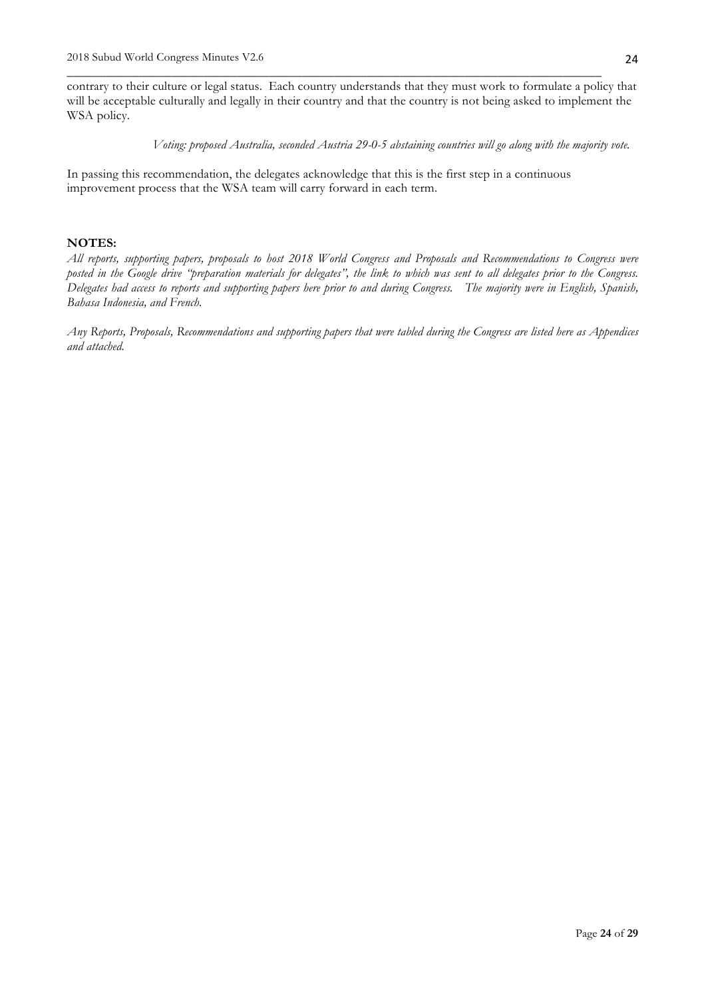contrary to their culture or legal status. Each country understands that they must work to formulate a policy that will be acceptable culturally and legally in their country and that the country is not being asked to implement the WSA policy.

\_\_\_\_\_\_\_\_\_\_\_\_\_\_\_\_\_\_\_\_\_\_\_\_\_\_\_\_\_\_\_\_\_\_\_\_\_\_\_\_\_\_\_\_\_\_\_\_\_\_\_\_\_\_\_\_\_\_\_\_\_\_\_\_\_\_\_\_\_\_\_\_\_\_\_\_\_\_\_\_\_\_

*Voting: proposed Australia, seconded Austria 29-0-5 abstaining countries will go along with the majority vote.*

In passing this recommendation, the delegates acknowledge that this is the first step in a continuous improvement process that the WSA team will carry forward in each term.

#### **NOTES:**

*All reports, supporting papers, proposals to host 2018 World Congress and Proposals and Recommendations to Congress were posted in the Google drive "preparation materials for delegates", the link to which was sent to all delegates prior to the Congress. Delegates had access to reports and supporting papers here prior to and during Congress. The majority were in English, Spanish, Bahasa Indonesia, and French.* 

*Any Reports, Proposals, Recommendations and supporting papers that were tabled during the Congress are listed here as Appendices and attached.*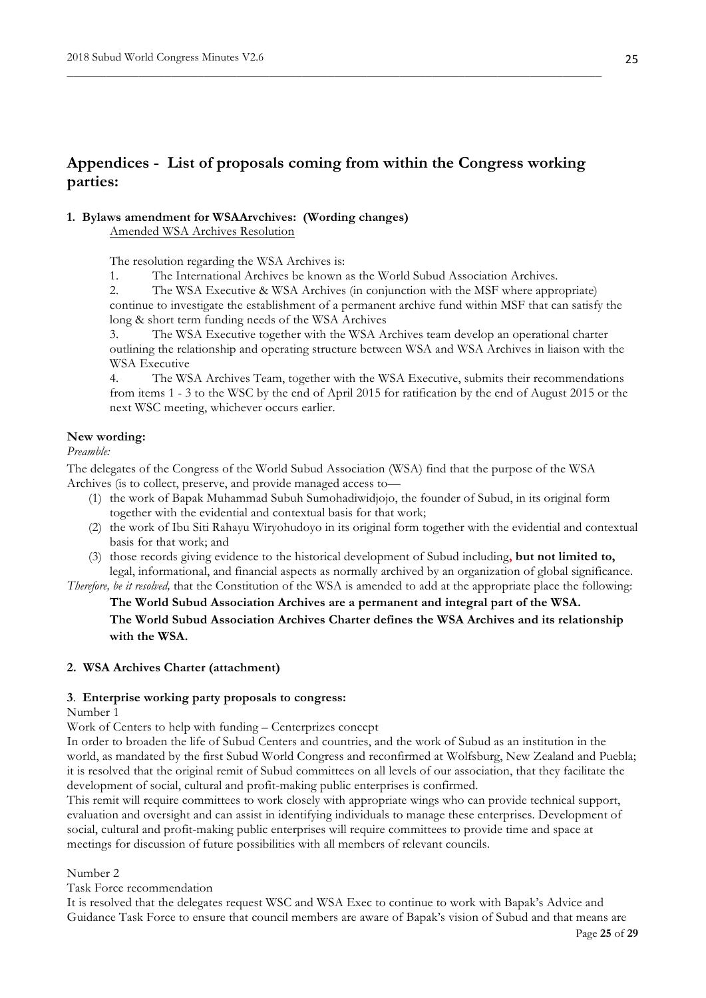# **Appendices - List of proposals coming from within the Congress working parties:**

\_\_\_\_\_\_\_\_\_\_\_\_\_\_\_\_\_\_\_\_\_\_\_\_\_\_\_\_\_\_\_\_\_\_\_\_\_\_\_\_\_\_\_\_\_\_\_\_\_\_\_\_\_\_\_\_\_\_\_\_\_\_\_\_\_\_\_\_\_\_\_\_\_\_\_\_\_\_\_\_\_\_

## **1. Bylaws amendment for WSAArvchives: (Wording changes)**

Amended WSA Archives Resolution

The resolution regarding the WSA Archives is:

1. The International Archives be known as the World Subud Association Archives.

2. The WSA Executive & WSA Archives (in conjunction with the MSF where appropriate)

continue to investigate the establishment of a permanent archive fund within MSF that can satisfy the long & short term funding needs of the WSA Archives

3. The WSA Executive together with the WSA Archives team develop an operational charter outlining the relationship and operating structure between WSA and WSA Archives in liaison with the WSA Executive

4. The WSA Archives Team, together with the WSA Executive, submits their recommendations from items 1 - 3 to the WSC by the end of April 2015 for ratification by the end of August 2015 or the next WSC meeting, whichever occurs earlier.

#### **New wording:**

*Preamble:* 

The delegates of the Congress of the World Subud Association (WSA) find that the purpose of the WSA Archives (is to collect, preserve, and provide managed access to—

- (1) the work of Bapak Muhammad Subuh Sumohadiwidjojo, the founder of Subud, in its original form together with the evidential and contextual basis for that work;
- (2) the work of Ibu Siti Rahayu Wiryohudoyo in its original form together with the evidential and contextual basis for that work; and
- (3) those records giving evidence to the historical development of Subud including**, but not limited to,** legal, informational, and financial aspects as normally archived by an organization of global significance.

*Therefore, be it resolved,* that the Constitution of the WSA is amended to add at the appropriate place the following:

**The World Subud Association Archives are a permanent and integral part of the WSA. The World Subud Association Archives Charter defines the WSA Archives and its relationship with the WSA.**

## **2. WSA Archives Charter (attachment)**

#### **3**. **Enterprise working party proposals to congress:**

#### Number 1

Work of Centers to help with funding – Centerprizes concept

In order to broaden the life of Subud Centers and countries, and the work of Subud as an institution in the world, as mandated by the first Subud World Congress and reconfirmed at Wolfsburg, New Zealand and Puebla; it is resolved that the original remit of Subud committees on all levels of our association, that they facilitate the development of social, cultural and profit-making public enterprises is confirmed.

This remit will require committees to work closely with appropriate wings who can provide technical support, evaluation and oversight and can assist in identifying individuals to manage these enterprises. Development of social, cultural and profit-making public enterprises will require committees to provide time and space at meetings for discussion of future possibilities with all members of relevant councils.

## Number 2

Task Force recommendation

It is resolved that the delegates request WSC and WSA Exec to continue to work with Bapak's Advice and Guidance Task Force to ensure that council members are aware of Bapak's vision of Subud and that means are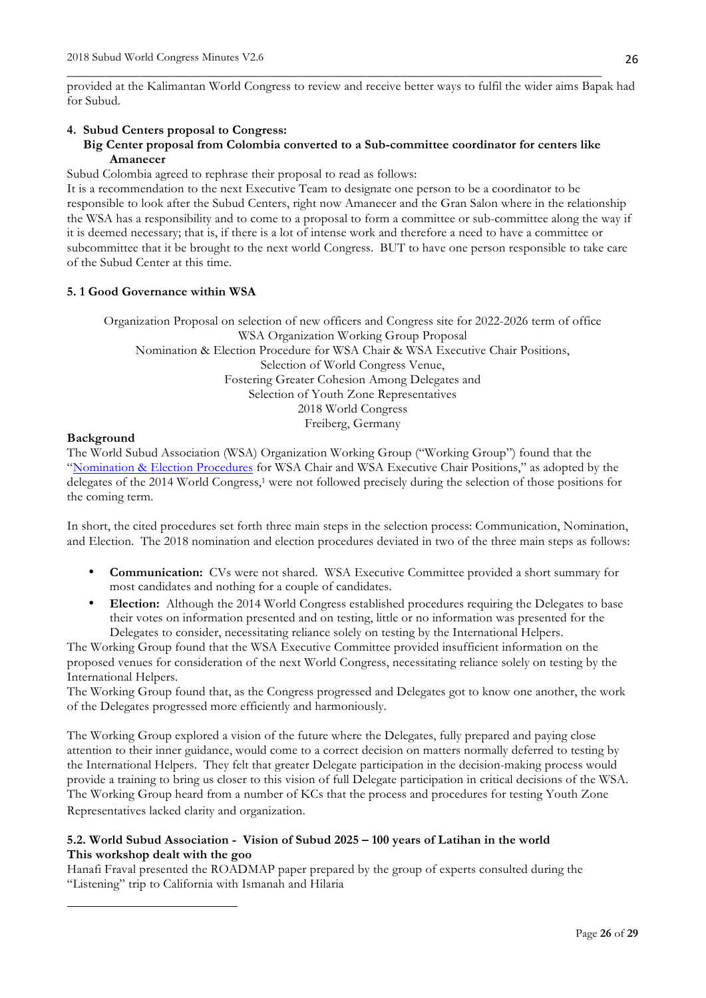provided at the Kalimantan World Congress to review and receive better ways to fulfil the wider aims Bapak had for Subud.

\_\_\_\_\_\_\_\_\_\_\_\_\_\_\_\_\_\_\_\_\_\_\_\_\_\_\_\_\_\_\_\_\_\_\_\_\_\_\_\_\_\_\_\_\_\_\_\_\_\_\_\_\_\_\_\_\_\_\_\_\_\_\_\_\_\_\_\_\_\_\_\_\_\_\_\_\_\_\_\_\_\_

#### **4. Subud Centers proposal to Congress:**

# **Big Center proposal from Colombia converted to a Sub-committee coordinator for centers like Amanecer**

Subud Colombia agreed to rephrase their proposal to read as follows:

It is a recommendation to the next Executive Team to designate one person to be a coordinator to be responsible to look after the Subud Centers, right now Amanecer and the Gran Salon where in the relationship the WSA has a responsibility and to come to a proposal to form a committee or sub-committee along the way if it is deemed necessary; that is, if there is a lot of intense work and therefore a need to have a committee or subcommittee that it be brought to the next world Congress. BUT to have one person responsible to take care of the Subud Center at this time.

#### **5. 1 Good Governance within WSA**

 

Organization Proposal on selection of new officers and Congress site for 2022-2026 term of office WSA Organization Working Group Proposal Nomination & Election Procedure for WSA Chair & WSA Executive Chair Positions, Selection of World Congress Venue, Fostering Greater Cohesion Among Delegates and Selection of Youth Zone Representatives 2018 World Congress Freiberg, Germany

#### **Background**

The World Subud Association (WSA) Organization Working Group ("Working Group") found that the "Nomination & Election Procedures for WSA Chair and WSA Executive Chair Positions," as adopted by the delegates of the 2014 World Congress,<sup>1</sup> were not followed precisely during the selection of those positions for the coming term.

In short, the cited procedures set forth three main steps in the selection process: Communication, Nomination, and Election. The 2018 nomination and election procedures deviated in two of the three main steps as follows:

- **Communication:** CVs were not shared. WSA Executive Committee provided a short summary for most candidates and nothing for a couple of candidates.
- **Election:** Although the 2014 World Congress established procedures requiring the Delegates to base their votes on information presented and on testing, little or no information was presented for the Delegates to consider, necessitating reliance solely on testing by the International Helpers.

The Working Group found that the WSA Executive Committee provided insufficient information on the proposed venues for consideration of the next World Congress, necessitating reliance solely on testing by the International Helpers.

The Working Group found that, as the Congress progressed and Delegates got to know one another, the work of the Delegates progressed more efficiently and harmoniously.

The Working Group explored a vision of the future where the Delegates, fully prepared and paying close attention to their inner guidance, would come to a correct decision on matters normally deferred to testing by the International Helpers. They felt that greater Delegate participation in the decision-making process would provide a training to bring us closer to this vision of full Delegate participation in critical decisions of the WSA. The Working Group heard from a number of KCs that the process and procedures for testing Youth Zone Representatives lacked clarity and organization.

# **5.2. World Subud Association - Vision of Subud 2025 – 100 years of Latihan in the world This workshop dealt with the goo**

Hanafi Fraval presented the ROADMAP paper prepared by the group of experts consulted during the "Listening" trip to California with Ismanah and Hilaria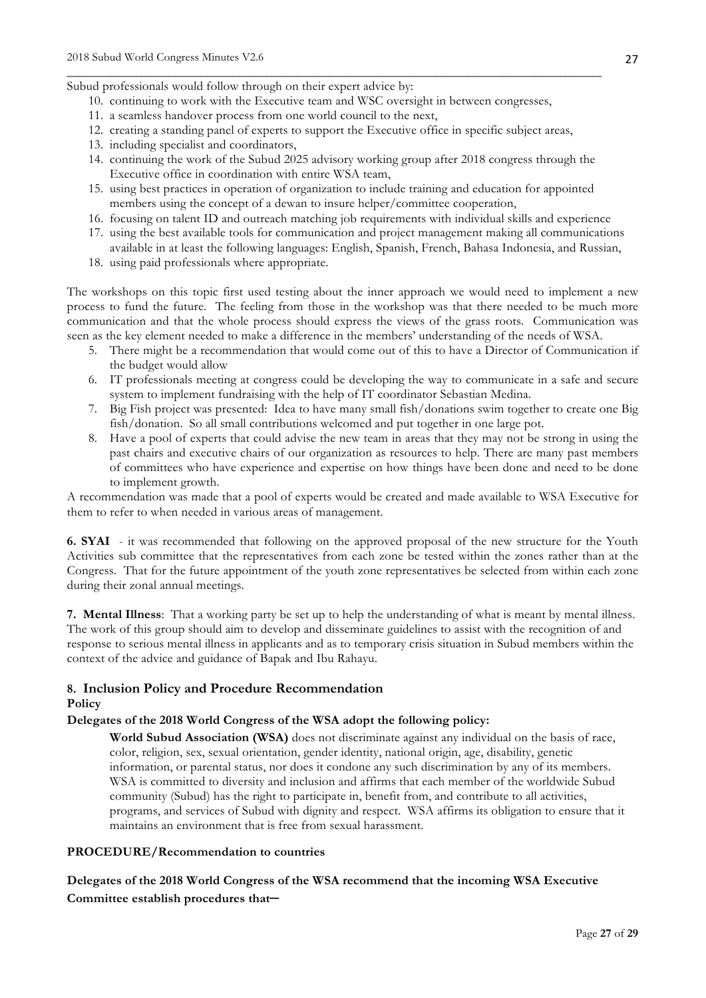#### Subud professionals would follow through on their expert advice by:

- 10. continuing to work with the Executive team and WSC oversight in between congresses,
- 11. a seamless handover process from one world council to the next,
- 12. creating a standing panel of experts to support the Executive office in specific subject areas,

\_\_\_\_\_\_\_\_\_\_\_\_\_\_\_\_\_\_\_\_\_\_\_\_\_\_\_\_\_\_\_\_\_\_\_\_\_\_\_\_\_\_\_\_\_\_\_\_\_\_\_\_\_\_\_\_\_\_\_\_\_\_\_\_\_\_\_\_\_\_\_\_\_\_\_\_\_\_\_\_\_\_

- 13. including specialist and coordinators,
- 14. continuing the work of the Subud 2025 advisory working group after 2018 congress through the Executive office in coordination with entire WSA team,
- 15. using best practices in operation of organization to include training and education for appointed members using the concept of a dewan to insure helper/committee cooperation,
- 16. focusing on talent ID and outreach matching job requirements with individual skills and experience
- 17. using the best available tools for communication and project management making all communications available in at least the following languages: English, Spanish, French, Bahasa Indonesia, and Russian,
- 18. using paid professionals where appropriate.

The workshops on this topic first used testing about the inner approach we would need to implement a new process to fund the future. The feeling from those in the workshop was that there needed to be much more communication and that the whole process should express the views of the grass roots. Communication was seen as the key element needed to make a difference in the members' understanding of the needs of WSA.

- 5. There might be a recommendation that would come out of this to have a Director of Communication if the budget would allow
- 6. IT professionals meeting at congress could be developing the way to communicate in a safe and secure system to implement fundraising with the help of IT coordinator Sebastian Medina.
- 7. Big Fish project was presented: Idea to have many small fish/donations swim together to create one Big fish/donation. So all small contributions welcomed and put together in one large pot.
- 8. Have a pool of experts that could advise the new team in areas that they may not be strong in using the past chairs and executive chairs of our organization as resources to help. There are many past members of committees who have experience and expertise on how things have been done and need to be done to implement growth.

A recommendation was made that a pool of experts would be created and made available to WSA Executive for them to refer to when needed in various areas of management.

**6. SYAI** - it was recommended that following on the approved proposal of the new structure for the Youth Activities sub committee that the representatives from each zone be tested within the zones rather than at the Congress. That for the future appointment of the youth zone representatives be selected from within each zone during their zonal annual meetings.

**7. Mental Illness**: That a working party be set up to help the understanding of what is meant by mental illness. The work of this group should aim to develop and disseminate guidelines to assist with the recognition of and response to serious mental illness in applicants and as to temporary crisis situation in Subud members within the context of the advice and guidance of Bapak and Ibu Rahayu.

## **8. Inclusion Policy and Procedure Recommendation Policy**

#### **Delegates of the 2018 World Congress of the WSA adopt the following policy:**

**World Subud Association (WSA)** does not discriminate against any individual on the basis of race, color, religion, sex, sexual orientation, gender identity, national origin, age, disability, genetic information, or parental status, nor does it condone any such discrimination by any of its members. WSA is committed to diversity and inclusion and affirms that each member of the worldwide Subud community (Subud) has the right to participate in, benefit from, and contribute to all activities, programs, and services of Subud with dignity and respect. WSA affirms its obligation to ensure that it maintains an environment that is free from sexual harassment.

#### **PROCEDURE/Recommendation to countries**

**Delegates of the 2018 World Congress of the WSA recommend that the incoming WSA Executive Committee establish procedures that**─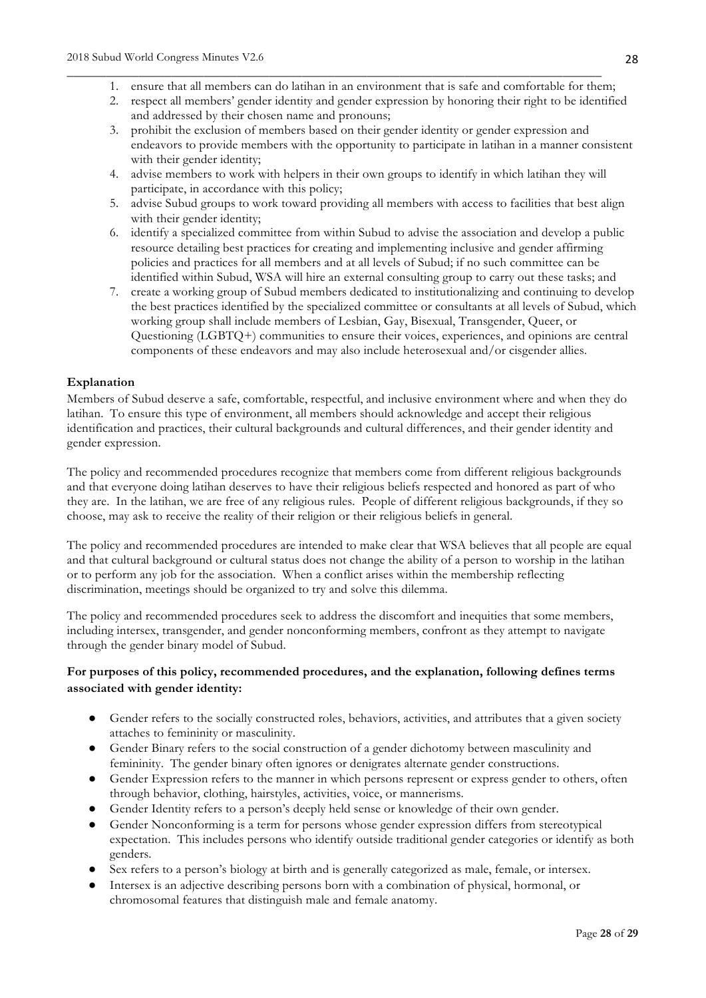1. ensure that all members can do latihan in an environment that is safe and comfortable for them;

\_\_\_\_\_\_\_\_\_\_\_\_\_\_\_\_\_\_\_\_\_\_\_\_\_\_\_\_\_\_\_\_\_\_\_\_\_\_\_\_\_\_\_\_\_\_\_\_\_\_\_\_\_\_\_\_\_\_\_\_\_\_\_\_\_\_\_\_\_\_\_\_\_\_\_\_\_\_\_\_\_\_

- 2. respect all members' gender identity and gender expression by honoring their right to be identified and addressed by their chosen name and pronouns;
- 3. prohibit the exclusion of members based on their gender identity or gender expression and endeavors to provide members with the opportunity to participate in latihan in a manner consistent with their gender identity;
- 4. advise members to work with helpers in their own groups to identify in which latihan they will participate, in accordance with this policy;
- 5. advise Subud groups to work toward providing all members with access to facilities that best align with their gender identity;
- 6. identify a specialized committee from within Subud to advise the association and develop a public resource detailing best practices for creating and implementing inclusive and gender affirming policies and practices for all members and at all levels of Subud; if no such committee can be identified within Subud, WSA will hire an external consulting group to carry out these tasks; and
- 7. create a working group of Subud members dedicated to institutionalizing and continuing to develop the best practices identified by the specialized committee or consultants at all levels of Subud, which working group shall include members of Lesbian, Gay, Bisexual, Transgender, Queer, or Questioning (LGBTQ+) communities to ensure their voices, experiences, and opinions are central components of these endeavors and may also include heterosexual and/or cisgender allies.

## **Explanation**

Members of Subud deserve a safe, comfortable, respectful, and inclusive environment where and when they do latihan. To ensure this type of environment, all members should acknowledge and accept their religious identification and practices, their cultural backgrounds and cultural differences, and their gender identity and gender expression.

The policy and recommended procedures recognize that members come from different religious backgrounds and that everyone doing latihan deserves to have their religious beliefs respected and honored as part of who they are. In the latihan, we are free of any religious rules. People of different religious backgrounds, if they so choose, may ask to receive the reality of their religion or their religious beliefs in general.

The policy and recommended procedures are intended to make clear that WSA believes that all people are equal and that cultural background or cultural status does not change the ability of a person to worship in the latihan or to perform any job for the association. When a conflict arises within the membership reflecting discrimination, meetings should be organized to try and solve this dilemma.

The policy and recommended procedures seek to address the discomfort and inequities that some members, including intersex, transgender, and gender nonconforming members, confront as they attempt to navigate through the gender binary model of Subud.

# **For purposes of this policy, recommended procedures, and the explanation, following defines terms associated with gender identity:**

- Gender refers to the socially constructed roles, behaviors, activities, and attributes that a given society attaches to femininity or masculinity.
- Gender Binary refers to the social construction of a gender dichotomy between masculinity and femininity. The gender binary often ignores or denigrates alternate gender constructions.
- Gender Expression refers to the manner in which persons represent or express gender to others, often through behavior, clothing, hairstyles, activities, voice, or mannerisms.
- Gender Identity refers to a person's deeply held sense or knowledge of their own gender.
- Gender Nonconforming is a term for persons whose gender expression differs from stereotypical expectation. This includes persons who identify outside traditional gender categories or identify as both genders.
- Sex refers to a person's biology at birth and is generally categorized as male, female, or intersex.
- Intersex is an adjective describing persons born with a combination of physical, hormonal, or chromosomal features that distinguish male and female anatomy.